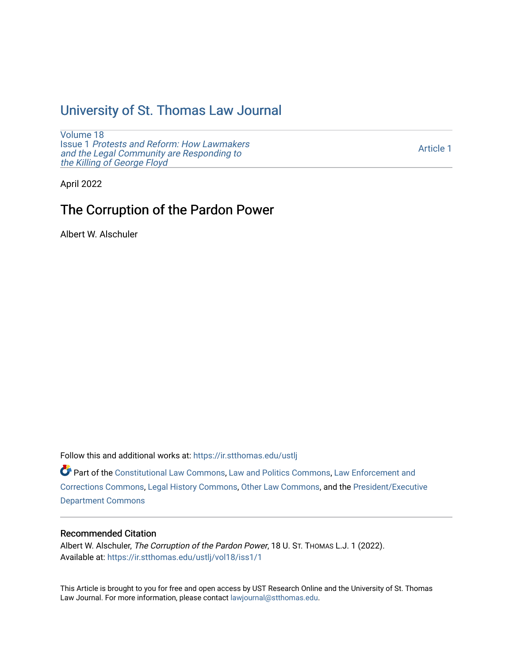## [University of St. Thomas Law Journal](https://ir.stthomas.edu/ustlj)

[Volume 18](https://ir.stthomas.edu/ustlj/vol18) Issue 1 [Protests and Reform: How Lawmakers](https://ir.stthomas.edu/ustlj/vol18/iss1)  [and the Legal Community are Responding to](https://ir.stthomas.edu/ustlj/vol18/iss1) [the Killing of George Floyd](https://ir.stthomas.edu/ustlj/vol18/iss1) 

[Article 1](https://ir.stthomas.edu/ustlj/vol18/iss1/1) 

April 2022

# The Corruption of the Pardon Power

Albert W. Alschuler

Follow this and additional works at: [https://ir.stthomas.edu/ustlj](https://ir.stthomas.edu/ustlj?utm_source=ir.stthomas.edu%2Fustlj%2Fvol18%2Fiss1%2F1&utm_medium=PDF&utm_campaign=PDFCoverPages)

Part of the [Constitutional Law Commons,](http://network.bepress.com/hgg/discipline/589?utm_source=ir.stthomas.edu%2Fustlj%2Fvol18%2Fiss1%2F1&utm_medium=PDF&utm_campaign=PDFCoverPages) [Law and Politics Commons,](http://network.bepress.com/hgg/discipline/867?utm_source=ir.stthomas.edu%2Fustlj%2Fvol18%2Fiss1%2F1&utm_medium=PDF&utm_campaign=PDFCoverPages) [Law Enforcement and](http://network.bepress.com/hgg/discipline/854?utm_source=ir.stthomas.edu%2Fustlj%2Fvol18%2Fiss1%2F1&utm_medium=PDF&utm_campaign=PDFCoverPages)  [Corrections Commons](http://network.bepress.com/hgg/discipline/854?utm_source=ir.stthomas.edu%2Fustlj%2Fvol18%2Fiss1%2F1&utm_medium=PDF&utm_campaign=PDFCoverPages), [Legal History Commons,](http://network.bepress.com/hgg/discipline/904?utm_source=ir.stthomas.edu%2Fustlj%2Fvol18%2Fiss1%2F1&utm_medium=PDF&utm_campaign=PDFCoverPages) [Other Law Commons,](http://network.bepress.com/hgg/discipline/621?utm_source=ir.stthomas.edu%2Fustlj%2Fvol18%2Fiss1%2F1&utm_medium=PDF&utm_campaign=PDFCoverPages) and the [President/Executive](http://network.bepress.com/hgg/discipline/1118?utm_source=ir.stthomas.edu%2Fustlj%2Fvol18%2Fiss1%2F1&utm_medium=PDF&utm_campaign=PDFCoverPages) [Department Commons](http://network.bepress.com/hgg/discipline/1118?utm_source=ir.stthomas.edu%2Fustlj%2Fvol18%2Fiss1%2F1&utm_medium=PDF&utm_campaign=PDFCoverPages)

## Recommended Citation

Albert W. Alschuler, The Corruption of the Pardon Power, 18 U. ST. THOMAS L.J. 1 (2022). Available at: [https://ir.stthomas.edu/ustlj/vol18/iss1/1](https://ir.stthomas.edu/ustlj/vol18/iss1/1?utm_source=ir.stthomas.edu%2Fustlj%2Fvol18%2Fiss1%2F1&utm_medium=PDF&utm_campaign=PDFCoverPages)

This Article is brought to you for free and open access by UST Research Online and the University of St. Thomas Law Journal. For more information, please contact [lawjournal@stthomas.edu.](mailto:lawjournal@stthomas.edu)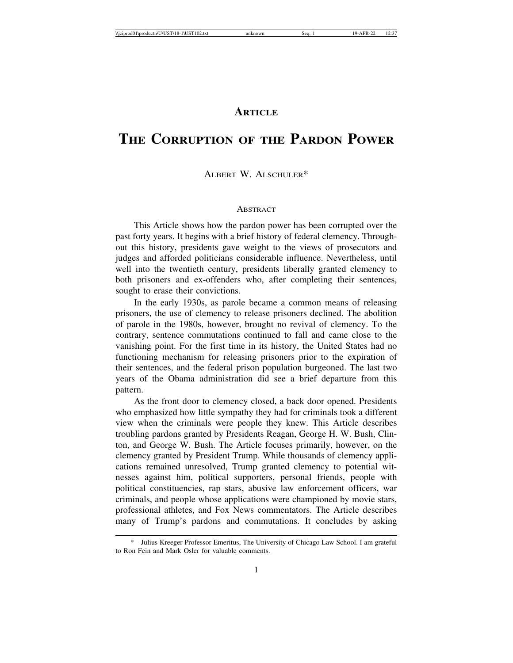## **ARTICLE**

# **THE CORRUPTION OF THE PARDON POWER**

### ALBERT W. ALSCHULER\*

#### **ABSTRACT**

This Article shows how the pardon power has been corrupted over the past forty years. It begins with a brief history of federal clemency. Throughout this history, presidents gave weight to the views of prosecutors and judges and afforded politicians considerable influence. Nevertheless, until well into the twentieth century, presidents liberally granted clemency to both prisoners and ex-offenders who, after completing their sentences, sought to erase their convictions.

In the early 1930s, as parole became a common means of releasing prisoners, the use of clemency to release prisoners declined. The abolition of parole in the 1980s, however, brought no revival of clemency. To the contrary, sentence commutations continued to fall and came close to the vanishing point. For the first time in its history, the United States had no functioning mechanism for releasing prisoners prior to the expiration of their sentences, and the federal prison population burgeoned. The last two years of the Obama administration did see a brief departure from this pattern.

As the front door to clemency closed, a back door opened. Presidents who emphasized how little sympathy they had for criminals took a different view when the criminals were people they knew. This Article describes troubling pardons granted by Presidents Reagan, George H. W. Bush, Clinton, and George W. Bush. The Article focuses primarily, however, on the clemency granted by President Trump. While thousands of clemency applications remained unresolved, Trump granted clemency to potential witnesses against him, political supporters, personal friends, people with political constituencies, rap stars, abusive law enforcement officers, war criminals, and people whose applications were championed by movie stars, professional athletes, and Fox News commentators. The Article describes many of Trump's pardons and commutations. It concludes by asking

Julius Kreeger Professor Emeritus, The University of Chicago Law School. I am grateful to Ron Fein and Mark Osler for valuable comments.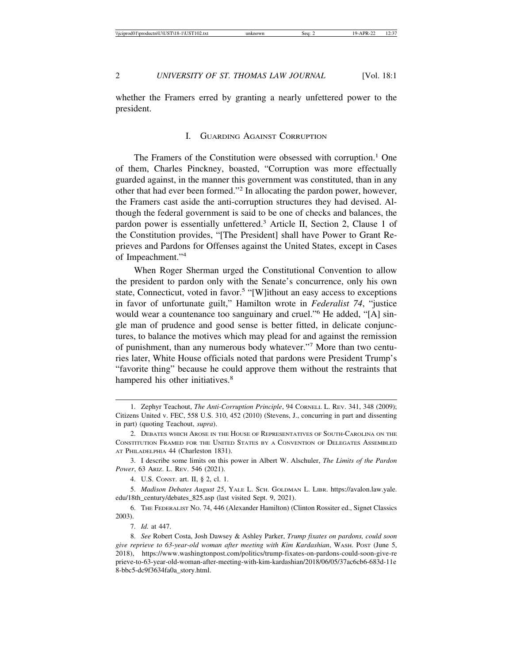whether the Framers erred by granting a nearly unfettered power to the president.

#### I. GUARDING AGAINST CORRUPTION

The Framers of the Constitution were obsessed with corruption.<sup>1</sup> One of them, Charles Pinckney, boasted, "Corruption was more effectually guarded against, in the manner this government was constituted, than in any other that had ever been formed."<sup>2</sup> In allocating the pardon power, however, the Framers cast aside the anti-corruption structures they had devised. Although the federal government is said to be one of checks and balances, the pardon power is essentially unfettered.<sup>3</sup> Article II, Section 2, Clause 1 of the Constitution provides, "[The President] shall have Power to Grant Reprieves and Pardons for Offenses against the United States, except in Cases of Impeachment."4

When Roger Sherman urged the Constitutional Convention to allow the president to pardon only with the Senate's concurrence, only his own state, Connecticut, voted in favor.<sup>5</sup> "[W]ithout an easy access to exceptions in favor of unfortunate guilt," Hamilton wrote in *Federalist 74*, "justice would wear a countenance too sanguinary and cruel."<sup>6</sup> He added, "[A] single man of prudence and good sense is better fitted, in delicate conjunctures, to balance the motives which may plead for and against the remission of punishment, than any numerous body whatever."<sup>7</sup> More than two centuries later, White House officials noted that pardons were President Trump's "favorite thing" because he could approve them without the restraints that hampered his other initiatives.<sup>8</sup>

3. I describe some limits on this power in Albert W. Alschuler, *The Limits of the Pardon Power*, 63 ARIZ. L. REV. 546 (2021).

4. U.S. CONST. art. II, § 2, cl. 1.

5. *Madison Debates August 25*, YALE L. SCH. GOLDMAN L. LIBR. https://avalon.law.yale. edu/18th\_century/debates\_825.asp (last visited Sept. 9, 2021).

6. THE FEDERALIST NO. 74, 446 (Alexander Hamilton) (Clinton Rossiter ed., Signet Classics 2003).

7. *Id.* at 447.

<sup>1.</sup> Zephyr Teachout, *The Anti-Corruption Principle*, 94 CORNELL L. REV. 341, 348 (2009); Citizens United v. FEC, 558 U.S. 310, 452 (2010) (Stevens, J., concurring in part and dissenting in part) (quoting Teachout, *supra*).

<sup>2.</sup> DEBATES WHICH AROSE IN THE HOUSE OF REPRESENTATIVES OF SOUTH-CAROLINA ON THE CONSTITUTION FRAMED FOR THE UNITED STATES BY A CONVENTION OF DELEGATES ASSEMBLED AT PHILADELPHIA 44 (Charleston 1831).

<sup>8.</sup> *See* Robert Costa, Josh Dawsey & Ashley Parker, *Trump fixates on pardons, could soon give reprieve to 63-year-old woman after meeting with Kim Kardashian*, WASH. POST (June 5, 2018), https://www.washingtonpost.com/politics/trump-fixates-on-pardons-could-soon-give-re prieve-to-63-year-old-woman-after-meeting-with-kim-kardashian/2018/06/05/37ac6cb6-683d-11e 8-bbc5-dc9f3634fa0a\_story.html.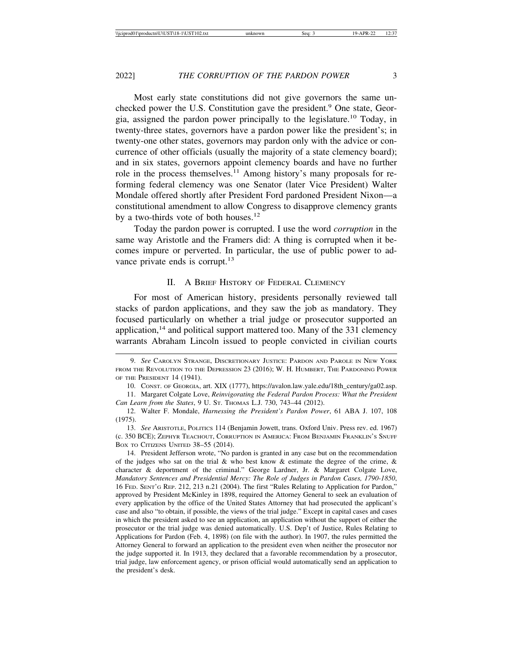Most early state constitutions did not give governors the same unchecked power the U.S. Constitution gave the president.<sup>9</sup> One state, Georgia, assigned the pardon power principally to the legislature.10 Today, in twenty-three states, governors have a pardon power like the president's; in twenty-one other states, governors may pardon only with the advice or concurrence of other officials (usually the majority of a state clemency board); and in six states, governors appoint clemency boards and have no further role in the process themselves.<sup>11</sup> Among history's many proposals for reforming federal clemency was one Senator (later Vice President) Walter Mondale offered shortly after President Ford pardoned President Nixon—a constitutional amendment to allow Congress to disapprove clemency grants by a two-thirds vote of both houses.<sup>12</sup>

Today the pardon power is corrupted. I use the word *corruption* in the same way Aristotle and the Framers did: A thing is corrupted when it becomes impure or perverted. In particular, the use of public power to advance private ends is corrupt.<sup>13</sup>

### II. A BRIEF HISTORY OF FEDERAL CLEMENCY

For most of American history, presidents personally reviewed tall stacks of pardon applications, and they saw the job as mandatory. They focused particularly on whether a trial judge or prosecutor supported an application,<sup>14</sup> and political support mattered too. Many of the 331 clemency warrants Abraham Lincoln issued to people convicted in civilian courts

<sup>9.</sup> *See* CAROLYN STRANGE, DISCRETIONARY JUSTICE: PARDON AND PAROLE IN NEW YORK FROM THE REVOLUTION TO THE DEPRESSION 23 (2016); W. H. HUMBERT, THE PARDONING POWER OF THE PRESIDENT 14 (1941).

<sup>10.</sup> CONST. OF GEORGIA, art. XIX (1777), https://avalon.law.yale.edu/18th\_century/ga02.asp.

<sup>11.</sup> Margaret Colgate Love, *Reinvigorating the Federal Pardon Process: What the President Can Learn from the States*, 9 U. ST. THOMAS L.J. 730, 743–44 (2012).

<sup>12.</sup> Walter F. Mondale, *Harnessing the President's Pardon Power*, 61 ABA J. 107, 108 (1975).

<sup>13.</sup> *See* ARISTOTLE, POLITICS 114 (Benjamin Jowett, trans. Oxford Univ. Press rev. ed. 1967) (c. 350 BCE); ZEPHYR TEACHOUT, CORRUPTION IN AMERICA: FROM BENJAMIN FRANKLIN'S SNUFF BOX TO CITIZENS UNITED 38–55 (2014).

<sup>14.</sup> President Jefferson wrote, "No pardon is granted in any case but on the recommendation of the judges who sat on the trial  $\&$  who best know  $\&$  estimate the degree of the crime,  $\&$ character & deportment of the criminal." George Lardner, Jr. & Margaret Colgate Love, *Mandatory Sentences and Presidential Mercy: The Role of Judges in Pardon Cases, 1790-1850*, 16 FED. SENT'G REP. 212, 213 n.21 (2004). The first "Rules Relating to Application for Pardon," approved by President McKinley in 1898, required the Attorney General to seek an evaluation of every application by the office of the United States Attorney that had prosecuted the applicant's case and also "to obtain, if possible, the views of the trial judge." Except in capital cases and cases in which the president asked to see an application, an application without the support of either the prosecutor or the trial judge was denied automatically. U.S. Dep't of Justice, Rules Relating to Applications for Pardon (Feb. 4, 1898) (on file with the author). In 1907, the rules permitted the Attorney General to forward an application to the president even when neither the prosecutor nor the judge supported it. In 1913, they declared that a favorable recommendation by a prosecutor, trial judge, law enforcement agency, or prison official would automatically send an application to the president's desk.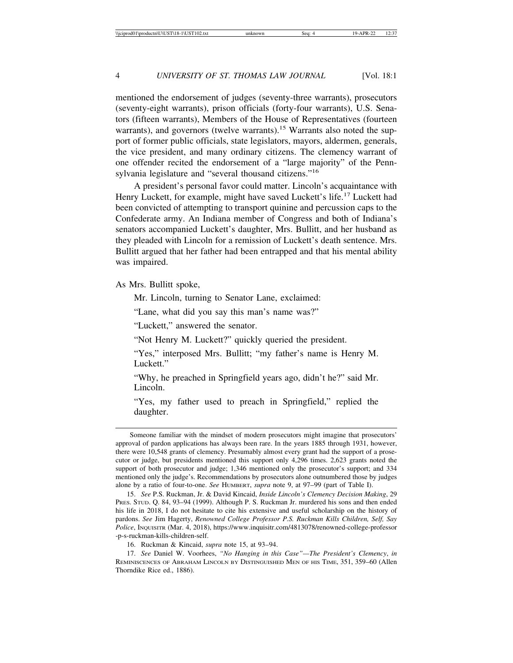mentioned the endorsement of judges (seventy-three warrants), prosecutors (seventy-eight warrants), prison officials (forty-four warrants), U.S. Senators (fifteen warrants), Members of the House of Representatives (fourteen warrants), and governors (twelve warrants).<sup>15</sup> Warrants also noted the support of former public officials, state legislators, mayors, aldermen, generals, the vice president, and many ordinary citizens. The clemency warrant of one offender recited the endorsement of a "large majority" of the Pennsylvania legislature and "several thousand citizens."<sup>16</sup>

A president's personal favor could matter. Lincoln's acquaintance with Henry Luckett, for example, might have saved Luckett's life.<sup>17</sup> Luckett had been convicted of attempting to transport quinine and percussion caps to the Confederate army. An Indiana member of Congress and both of Indiana's senators accompanied Luckett's daughter, Mrs. Bullitt, and her husband as they pleaded with Lincoln for a remission of Luckett's death sentence. Mrs. Bullitt argued that her father had been entrapped and that his mental ability was impaired.

As Mrs. Bullitt spoke,

Mr. Lincoln, turning to Senator Lane, exclaimed:

"Lane, what did you say this man's name was?"

"Luckett," answered the senator.

"Not Henry M. Luckett?" quickly queried the president.

"Yes," interposed Mrs. Bullitt; "my father's name is Henry M. Luckett."

"Why, he preached in Springfield years ago, didn't he?" said Mr. Lincoln.

"Yes, my father used to preach in Springfield," replied the daughter.

16. Ruckman & Kincaid, *supra* note 15, at 93–94.

17. *See* Daniel W. Voorhees, *"No Hanging in this Case"—The President's Clemency*, *in* REMINISCENCES OF ABRAHAM LINCOLN BY DISTINGUISHED MEN OF HIS TIME, 351, 359–60 (Allen Thorndike Rice ed., 1886).

Someone familiar with the mindset of modern prosecutors might imagine that prosecutors' approval of pardon applications has always been rare. In the years 1885 through 1931, however, there were 10,548 grants of clemency. Presumably almost every grant had the support of a prosecutor or judge, but presidents mentioned this support only 4,296 times. 2,623 grants noted the support of both prosecutor and judge; 1,346 mentioned only the prosecutor's support; and 334 mentioned only the judge's. Recommendations by prosecutors alone outnumbered those by judges alone by a ratio of four-to-one. *See* HUMBERT, *supra* note 9, at 97–99 (part of Table I).

<sup>15.</sup> *See* P.S. Ruckman, Jr. & David Kincaid, *Inside Lincoln's Clemency Decision Making*, 29 PRES. STUD. Q. 84, 93–94 (1999). Although P. S. Ruckman Jr. murdered his sons and then ended his life in 2018, I do not hesitate to cite his extensive and useful scholarship on the history of pardons. *See* Jim Hagerty, *Renowned College Professor P.S. Ruckman Kills Children, Self, Say Police*, INQUISITR (Mar. 4, 2018), https://www.inquisitr.com/4813078/renowned-college-professor -p-s-ruckman-kills-children-self.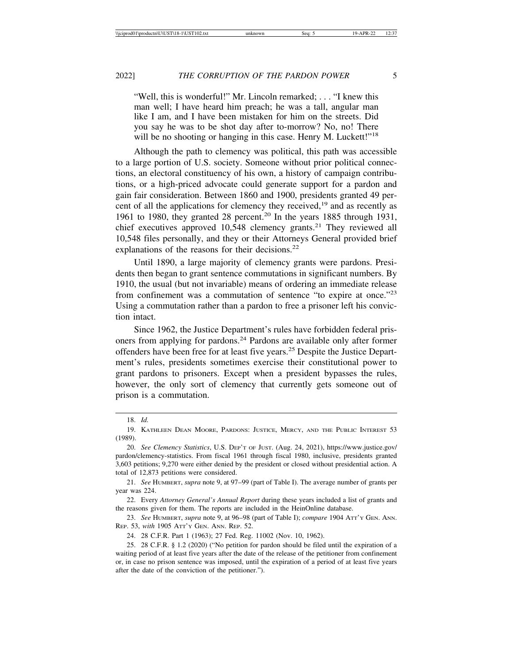"Well, this is wonderful!" Mr. Lincoln remarked; . . . "I knew this man well; I have heard him preach; he was a tall, angular man like I am, and I have been mistaken for him on the streets. Did you say he was to be shot day after to-morrow? No, no! There will be no shooting or hanging in this case. Henry M. Luckett!"<sup>18</sup>

Although the path to clemency was political, this path was accessible to a large portion of U.S. society. Someone without prior political connections, an electoral constituency of his own, a history of campaign contributions, or a high-priced advocate could generate support for a pardon and gain fair consideration. Between 1860 and 1900, presidents granted 49 percent of all the applications for clemency they received,19 and as recently as 1961 to 1980, they granted 28 percent.<sup>20</sup> In the years 1885 through 1931, chief executives approved  $10,548$  clemency grants.<sup>21</sup> They reviewed all 10,548 files personally, and they or their Attorneys General provided brief explanations of the reasons for their decisions.<sup>22</sup>

Until 1890, a large majority of clemency grants were pardons. Presidents then began to grant sentence commutations in significant numbers. By 1910, the usual (but not invariable) means of ordering an immediate release from confinement was a commutation of sentence "to expire at once."<sup>23</sup> Using a commutation rather than a pardon to free a prisoner left his conviction intact.

Since 1962, the Justice Department's rules have forbidden federal prisoners from applying for pardons.24 Pardons are available only after former offenders have been free for at least five years.25 Despite the Justice Department's rules, presidents sometimes exercise their constitutional power to grant pardons to prisoners. Except when a president bypasses the rules, however, the only sort of clemency that currently gets someone out of prison is a commutation.

21. *See* HUMBERT, *supra* note 9, at 97–99 (part of Table I). The average number of grants per year was 224.

22. Every *Attorney General's Annual Report* during these years included a list of grants and the reasons given for them. The reports are included in the HeinOnline database.

23. *See* HUMBERT, *supra* note 9, at 96–98 (part of Table I); *compare* 1904 ATT'Y GEN. ANN. REP. 53, *with* 1905 ATT'Y GEN. ANN. REP. 52.

24. 28 C.F.R. Part 1 (1963); 27 Fed. Reg. 11002 (Nov. 10, 1962).

25. 28 C.F.R. § 1.2 (2020) ("No petition for pardon should be filed until the expiration of a waiting period of at least five years after the date of the release of the petitioner from confinement or, in case no prison sentence was imposed, until the expiration of a period of at least five years after the date of the conviction of the petitioner.").

<sup>18.</sup> *Id.*

<sup>19.</sup> KATHLEEN DEAN MOORE, PARDONS: JUSTICE, MERCY, AND THE PUBLIC INTEREST 53 (1989).

<sup>20.</sup> *See Clemency Statistics*, U.S. DEP'T OF JUST. (Aug. 24, 2021), https://www.justice.gov/ pardon/clemency-statistics. From fiscal 1961 through fiscal 1980, inclusive, presidents granted 3,603 petitions; 9,270 were either denied by the president or closed without presidential action. A total of 12,873 petitions were considered.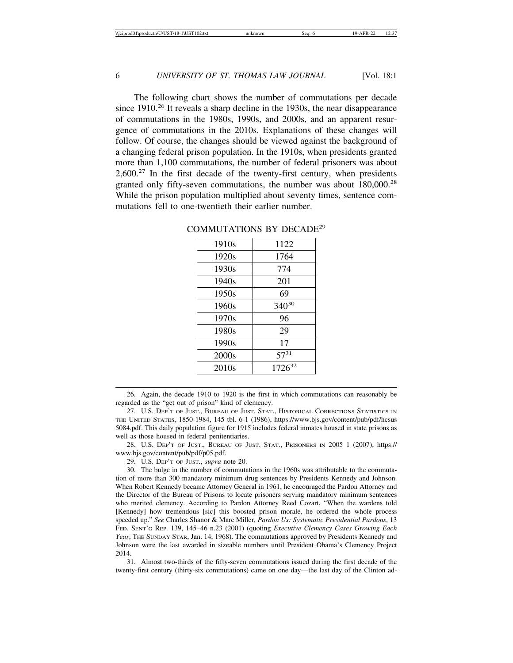The following chart shows the number of commutations per decade since 1910.<sup>26</sup> It reveals a sharp decline in the 1930s, the near disappearance of commutations in the 1980s, 1990s, and 2000s, and an apparent resurgence of commutations in the 2010s. Explanations of these changes will follow. Of course, the changes should be viewed against the background of a changing federal prison population. In the 1910s, when presidents granted more than 1,100 commutations, the number of federal prisoners was about  $2,600<sup>27</sup>$  In the first decade of the twenty-first century, when presidents granted only fifty-seven commutations, the number was about 180,000.<sup>28</sup> While the prison population multiplied about seventy times, sentence commutations fell to one-twentieth their earlier number.

| 1910s             | 1122        |
|-------------------|-------------|
| 1920s             | 1764        |
| 1930s             | 774         |
| 1940 <sub>s</sub> | 201         |
| 1950s             | 69          |
| 1960s             | 34030       |
| 1970s             | 96          |
| 1980s             | 29          |
| 1990s             | 17          |
| 2000s             | $57^{31}$   |
| 2010 <sub>s</sub> | $1726^{32}$ |

#### COMMUTATIONS BY DECADE<sup>29</sup>

26. Again, the decade 1910 to 1920 is the first in which commutations can reasonably be regarded as the "get out of prison" kind of clemency.

27. U.S. DEP'T OF JUST., BUREAU OF JUST. STAT., HISTORICAL CORRECTIONS STATISTICS IN THE UNITED STATES, 1850-1984, 145 tbl. 6-1 (1986), https://www.bjs.gov/content/pub/pdf/hcsus 5084.pdf. This daily population figure for 1915 includes federal inmates housed in state prisons as well as those housed in federal penitentiaries.

28. U.S. DEP'T OF JUST., BUREAU OF JUST. STAT., PRISONERS IN 2005 1 (2007), https:// www.bjs.gov/content/pub/pdf/p05.pdf.

29. U.S. DEP'T OF JUST., *supra* note 20.

30. The bulge in the number of commutations in the 1960s was attributable to the commutation of more than 300 mandatory minimum drug sentences by Presidents Kennedy and Johnson. When Robert Kennedy became Attorney General in 1961, he encouraged the Pardon Attorney and the Director of the Bureau of Prisons to locate prisoners serving mandatory minimum sentences who merited clemency. According to Pardon Attorney Reed Cozart, "When the wardens told [Kennedy] how tremendous [sic] this boosted prison morale, he ordered the whole process speeded up." *See* Charles Shanor & Marc Miller, *Pardon Us: Systematic Presidential Pardons*, 13 FED. SENT'G REP. 139, 145–46 n.23 (2001) (quoting *Executive Clemency Cases Growing Each Year*, THE SUNDAY STAR, Jan. 14, 1968). The commutations approved by Presidents Kennedy and Johnson were the last awarded in sizeable numbers until President Obama's Clemency Project 2014.

31. Almost two-thirds of the fifty-seven commutations issued during the first decade of the twenty-first century (thirty-six commutations) came on one day—the last day of the Clinton ad-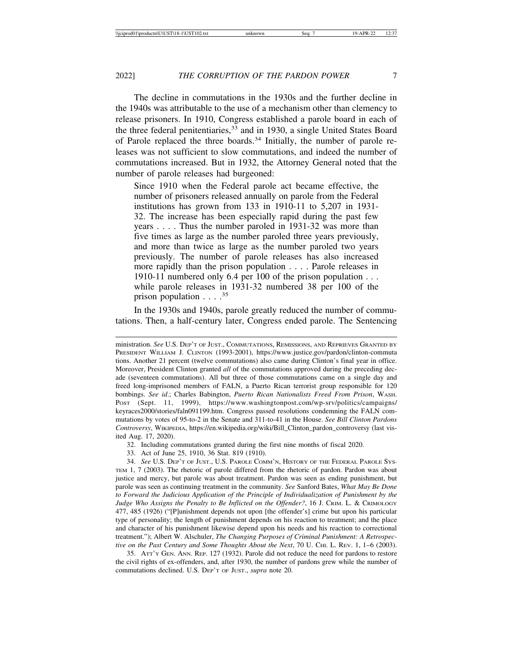The decline in commutations in the 1930s and the further decline in the 1940s was attributable to the use of a mechanism other than clemency to release prisoners. In 1910, Congress established a parole board in each of the three federal penitentiaries,<sup>33</sup> and in 1930, a single United States Board of Parole replaced the three boards.34 Initially, the number of parole releases was not sufficient to slow commutations, and indeed the number of commutations increased. But in 1932, the Attorney General noted that the number of parole releases had burgeoned:

Since 1910 when the Federal parole act became effective, the number of prisoners released annually on parole from the Federal institutions has grown from 133 in 1910-11 to 5,207 in 1931- 32. The increase has been especially rapid during the past few years . . . . Thus the number paroled in 1931-32 was more than five times as large as the number paroled three years previously, and more than twice as large as the number paroled two years previously. The number of parole releases has also increased more rapidly than the prison population . . . . Parole releases in 1910-11 numbered only 6.4 per 100 of the prison population . . . while parole releases in 1931-32 numbered 38 per 100 of the prison population  $\ldots$  .<sup>35</sup>

In the 1930s and 1940s, parole greatly reduced the number of commutations. Then, a half-century later, Congress ended parole. The Sentencing

35. ATT'Y GEN. ANN. REP. 127 (1932). Parole did not reduce the need for pardons to restore the civil rights of ex-offenders, and, after 1930, the number of pardons grew while the number of commutations declined. U.S. DEP'T OF JUST., *supra* note 20.

ministration. *See* U.S. DEP'T OF JUST., COMMUTATIONS, REMISSIONS, AND REPRIEVES GRANTED BY PRESIDENT WILLIAM J. CLINTON (1993-2001), https://www.justice.gov/pardon/clinton-commuta tions. Another 21 percent (twelve commutations) also came during Clinton's final year in office. Moreover, President Clinton granted *all* of the commutations approved during the preceding decade (seventeen commutations). All but three of those commutations came on a single day and freed long-imprisoned members of FALN, a Puerto Rican terrorist group responsible for 120 bombings. *See id*.; Charles Babington, *Puerto Rican Nationalists Freed From Prison*, WASH. POST (Sept. 11, 1999), https://www.washingtonpost.com/wp-srv/politics/campaigns/ keyraces2000/stories/faln091199.htm. Congress passed resolutions condemning the FALN commutations by votes of 95-to-2 in the Senate and 311-to-41 in the House. *See Bill Clinton Pardons Controversy*, WIKIPEDIA, https://en.wikipedia.org/wiki/Bill\_Clinton\_pardon\_controversy (last visited Aug. 17, 2020).

<sup>32.</sup> Including commutations granted during the first nine months of fiscal 2020.

<sup>33.</sup> Act of June 25, 1910, 36 Stat. 819 (1910).

<sup>34.</sup> *See* U.S. DEP'T OF JUST., U.S. PAROLE COMM'N, HISTORY OF THE FEDERAL PAROLE SYS-TEM 1, 7 (2003). The rhetoric of parole differed from the rhetoric of pardon. Pardon was about justice and mercy, but parole was about treatment. Pardon was seen as ending punishment, but parole was seen as continuing treatment in the community. *See* Sanford Bates, *What May Be Done to Forward the Judicious Application of the Principle of Individualization of Punishment by the Judge Who Assigns the Penalty to Be Inflicted on the Offender?*, 16 J. CRIM. L. & CRIMOLOGY 477, 485 (1926) ("[P]unishment depends not upon [the offender's] crime but upon his particular type of personality; the length of punishment depends on his reaction to treatment; and the place and character of his punishment likewise depend upon his needs and his reaction to correctional treatment."); Albert W. Alschuler, *The Changing Purposes of Criminal Punishment: A Retrospective on the Past Century and Some Thoughts About the Next*, 70 U. CHI. L. REV. 1, 1–6 (2003).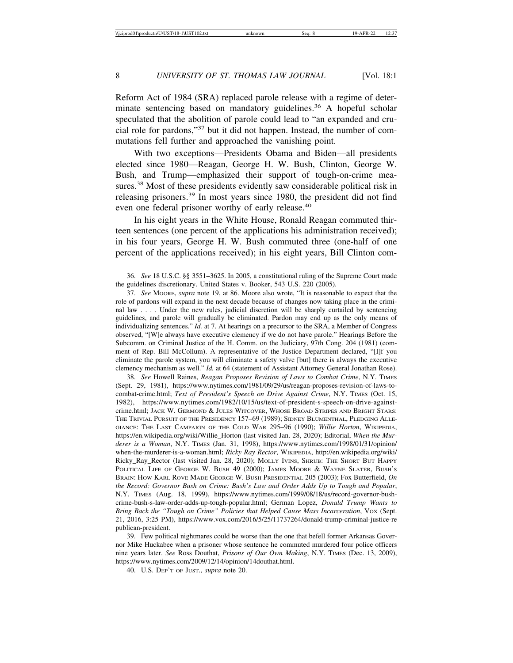Reform Act of 1984 (SRA) replaced parole release with a regime of determinate sentencing based on mandatory guidelines.<sup>36</sup> A hopeful scholar speculated that the abolition of parole could lead to "an expanded and crucial role for pardons,"37 but it did not happen. Instead, the number of commutations fell further and approached the vanishing point.

With two exceptions—Presidents Obama and Biden—all presidents elected since 1980—Reagan, George H. W. Bush, Clinton, George W. Bush, and Trump—emphasized their support of tough-on-crime measures.<sup>38</sup> Most of these presidents evidently saw considerable political risk in releasing prisoners.39 In most years since 1980, the president did not find even one federal prisoner worthy of early release.<sup>40</sup>

In his eight years in the White House, Ronald Reagan commuted thirteen sentences (one percent of the applications his administration received); in his four years, George H. W. Bush commuted three (one-half of one percent of the applications received); in his eight years, Bill Clinton com-

38. *See* Howell Raines, *Reagan Proposes Revision of Laws to Combat Crime*, N.Y. TIMES (Sept. 29, 1981), https://www.nytimes.com/1981/09/29/us/reagan-proposes-revision-of-laws-tocombat-crime.html; *Text of President's Speech on Drive Against Crime*, N.Y. TIMES (Oct. 15, 1982), https://www.nytimes.com/1982/10/15/us/text-of-president-s-speech-on-drive-againstcrime.html; JACK W. GERMOND & JULES WITCOVER, WHOSE BROAD STRIPES AND BRIGHT STARS: THE TRIVIAL PURSUIT OF THE PRESIDENCY 157–69 (1989); SIDNEY BLUMENTHAL, PLEDGING ALLE-GIANCE: THE LAST CAMPAIGN OF THE COLD WAR 295–96 (1990); *Willie Horton*, WIKIPEDIA, https://en.wikipedia.org/wiki/Willie\_Horton (last visited Jan. 28, 2020); Editorial, *When the Murderer is a Woman*, N.Y. TIMES (Jan. 31, 1998), https://www.nytimes.com/1998/01/31/opinion/ when-the-murderer-is-a-woman.html; *Ricky Ray Rector*, WIKIPEDIA, http://en.wikipedia.org/wiki/ Ricky\_Ray\_Rector (last visited Jan. 28, 2020); MOLLY IVINS, SHRUB: THE SHORT BUT HAPPY POLITICAL LIFE OF GEORGE W. BUSH 49 (2000); JAMES MOORE & WAYNE SLATER, BUSH'S BRAIN: HOW KARL ROVE MADE GEORGE W. BUSH PRESIDENTIAL 205 (2003); Fox Butterfield, *On the Record: Governor Bush on Crime: Bush's Law and Order Adds Up to Tough and Popular*, N.Y. TIMES (Aug. 18, 1999), https://www.nytimes.com/1999/08/18/us/record-governor-bushcrime-bush-s-law-order-adds-up-tough-popular.html; German Lopez, *Donald Trump Wants to Bring Back the "Tough on Crime" Policies that Helped Cause Mass Incarceration*, VOX (Sept. 21, 2016, 3:25 PM), https://www.vox.com/2016/5/25/11737264/donald-trump-criminal-justice-re publican-president.

39. Few political nightmares could be worse than the one that befell former Arkansas Governor Mike Huckabee when a prisoner whose sentence he commuted murdered four police officers nine years later. *See* Ross Douthat, *Prisons of Our Own Making*, N.Y. TIMES (Dec. 13, 2009), https://www.nytimes.com/2009/12/14/opinion/14douthat.html.

40. U.S. DEP'T OF JUST., *supra* note 20.

<sup>36.</sup> *See* 18 U.S.C. §§ 3551–3625. In 2005, a constitutional ruling of the Supreme Court made the guidelines discretionary. United States v. Booker, 543 U.S. 220 (2005).

<sup>37.</sup> *See* MOORE, *supra* note 19, at 86. Moore also wrote, "It is reasonable to expect that the role of pardons will expand in the next decade because of changes now taking place in the criminal law . . . . Under the new rules, judicial discretion will be sharply curtailed by sentencing guidelines, and parole will gradually be eliminated. Pardon may end up as the only means of individualizing sentences." *Id.* at 7. At hearings on a precursor to the SRA, a Member of Congress observed, "[W]e always have executive clemency if we do not have parole." Hearings Before the Subcomm. on Criminal Justice of the H. Comm. on the Judiciary, 97th Cong. 204 (1981) (comment of Rep. Bill McCollum). A representative of the Justice Department declared, "[I]f you eliminate the parole system, you will eliminate a safety valve [but] there is always the executive clemency mechanism as well." *Id.* at 64 (statement of Assistant Attorney General Jonathan Rose).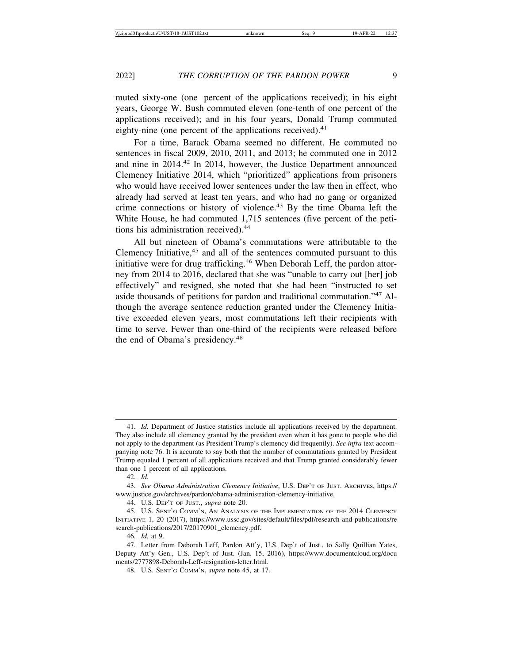muted sixty-one (one percent of the applications received); in his eight years, George W. Bush commuted eleven (one-tenth of one percent of the applications received); and in his four years, Donald Trump commuted eighty-nine (one percent of the applications received). $41$ 

For a time, Barack Obama seemed no different. He commuted no sentences in fiscal 2009, 2010, 2011, and 2013; he commuted one in 2012 and nine in 2014.42 In 2014, however, the Justice Department announced Clemency Initiative 2014, which "prioritized" applications from prisoners who would have received lower sentences under the law then in effect, who already had served at least ten years, and who had no gang or organized crime connections or history of violence.<sup>43</sup> By the time Obama left the White House, he had commuted 1,715 sentences (five percent of the petitions his administration received).<sup>44</sup>

All but nineteen of Obama's commutations were attributable to the Clemency Initiative,<sup>45</sup> and all of the sentences commuted pursuant to this initiative were for drug trafficking.<sup>46</sup> When Deborah Leff, the pardon attorney from 2014 to 2016, declared that she was "unable to carry out [her] job effectively" and resigned, she noted that she had been "instructed to set aside thousands of petitions for pardon and traditional commutation."47 Although the average sentence reduction granted under the Clemency Initiative exceeded eleven years, most commutations left their recipients with time to serve. Fewer than one-third of the recipients were released before the end of Obama's presidency.48

<sup>41.</sup> *Id.* Department of Justice statistics include all applications received by the department. They also include all clemency granted by the president even when it has gone to people who did not apply to the department (as President Trump's clemency did frequently). *See infra* text accompanying note 76. It is accurate to say both that the number of commutations granted by President Trump equaled 1 percent of all applications received and that Trump granted considerably fewer than one 1 percent of all applications.

<sup>42.</sup> *Id.*

<sup>43.</sup> *See Obama Administration Clemency Initiative*, U.S. DEP'T OF JUST. ARCHIVES, https:// www.justice.gov/archives/pardon/obama-administration-clemency-initiative.

<sup>44.</sup> U.S. DEP'T OF JUST., *supra* note 20.

<sup>45.</sup> U.S. SENT'G COMM'N, AN ANALYSIS OF THE IMPLEMENTATION OF THE 2014 CLEMENCY INITIATIVE 1, 20 (2017), https://www.ussc.gov/sites/default/files/pdf/research-and-publications/re search-publications/2017/20170901\_clemency.pdf.

<sup>46.</sup> *Id.* at 9.

<sup>47.</sup> Letter from Deborah Leff, Pardon Att'y, U.S. Dep't of Just., to Sally Quillian Yates, Deputy Att'y Gen., U.S. Dep't of Just. (Jan. 15, 2016), https://www.documentcloud.org/docu ments/2777898-Deborah-Leff-resignation-letter.html.

<sup>48.</sup> U.S. SENT'G COMM'N, *supra* note 45, at 17.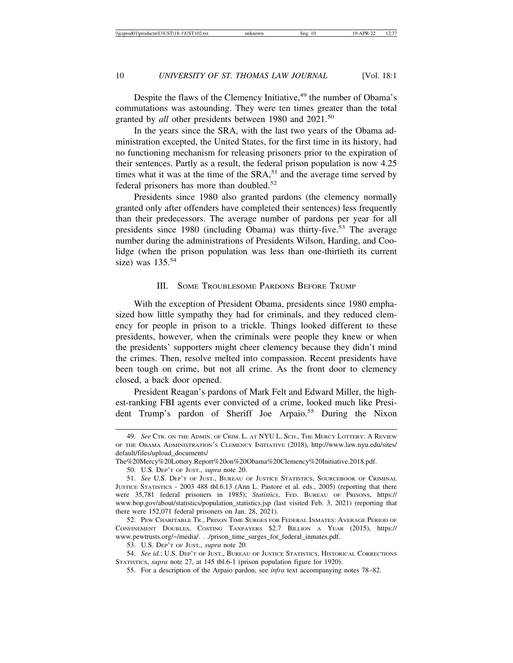Despite the flaws of the Clemency Initiative,<sup>49</sup> the number of Obama's commutations was astounding. They were ten times greater than the total granted by *all* other presidents between 1980 and 2021.<sup>50</sup>

In the years since the SRA, with the last two years of the Obama administration excepted, the United States, for the first time in its history, had no functioning mechanism for releasing prisoners prior to the expiration of their sentences. Partly as a result, the federal prison population is now 4.25 times what it was at the time of the  $SRA$ ,<sup>51</sup> and the average time served by federal prisoners has more than doubled.<sup>52</sup>

Presidents since 1980 also granted pardons (the clemency normally granted only after offenders have completed their sentences) less frequently than their predecessors. The average number of pardons per year for all presidents since 1980 (including Obama) was thirty-five.<sup>53</sup> The average number during the administrations of Presidents Wilson, Harding, and Coolidge (when the prison population was less than one-thirtieth its current size) was 135.<sup>54</sup>

### III. SOME TROUBLESOME PARDONS BEFORE TRUMP

With the exception of President Obama, presidents since 1980 emphasized how little sympathy they had for criminals, and they reduced clemency for people in prison to a trickle. Things looked different to these presidents, however, when the criminals were people they knew or when the presidents' supporters might cheer clemency because they didn't mind the crimes. Then, resolve melted into compassion. Recent presidents have been tough on crime, but not all crime. As the front door to clemency closed, a back door opened.

President Reagan's pardons of Mark Felt and Edward Miller, the highest-ranking FBI agents ever convicted of a crime, looked much like President Trump's pardon of Sheriff Joe Arpaio.<sup>55</sup> During the Nixon

<sup>49.</sup> *See* CTR. ON THE ADMIN. OF CRIM. L. AT NYU L. SCH., THE MERCY LOTTERY: A REVIEW OF THE OBAMA ADMINISTRATION'S CLEMENCY INITIATIVE (2018), http://www.law.nyu.edu/sites/ default/files/upload\_documents/

The%20Mercy%20Lottery.Report%20on%20Obama%20Clemency%20Initiative.2018.pdf.

<sup>50.</sup> U.S. DEP'T OF JUST., *supra* note 20.

<sup>51.</sup> *See* U.S. DEP'T OF JUST., BUREAU OF JUSTICE STATISTICS, SOURCEBOOK OF CRIMINAL JUSTICE STATISTICS - 2003 488 tbl.6.13 (Ann L. Pastore et al. eds., 2005) (reporting that there were 35,781 federal prisoners in 1985); *Statistics*, FED. BUREAU OF PRISONS, https:// www.bop.gov/about/statistics/population\_statistics.jsp (last visited Feb. 3, 2021) (reporting that there were 152,071 federal prisoners on Jan. 28, 2021).

<sup>52.</sup> PEW CHARITABLE TR., PRISON TIME SURGES FOR FEDERAL INMATES: AVERAGE PERIOD OF CONFINEMENT DOUBLES, COSTING TAXPAYERS \$2.7 BILLION A YEAR (2015), https:// www.pewtrusts.org/~/media/. . ./prison\_time\_surges\_for\_federal\_inmates.pdf.

<sup>53.</sup> U.S. DEP'T OF JUST., *supra* note 20.

<sup>54.</sup> *See id.*; U.S. DEP'T OF JUST., BUREAU OF JUSTICE STATISTICS, HISTORICAL CORRECTIONS STATISTICS, *supra* note 27, at 145 tbl.6-1 (prison population figure for 1920).

<sup>55.</sup> For a description of the Arpaio pardon, see *infra* text accompanying notes 78–82.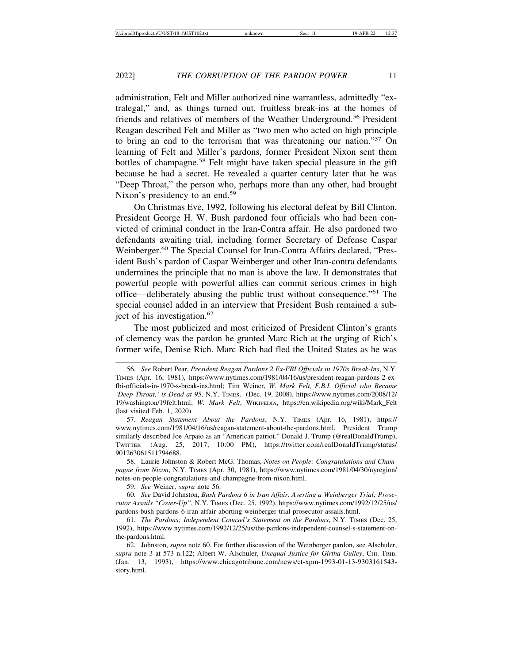administration, Felt and Miller authorized nine warrantless, admittedly "extralegal," and, as things turned out, fruitless break-ins at the homes of friends and relatives of members of the Weather Underground.56 President Reagan described Felt and Miller as "two men who acted on high principle to bring an end to the terrorism that was threatening our nation."57 On learning of Felt and Miller's pardons, former President Nixon sent them bottles of champagne.<sup>58</sup> Felt might have taken special pleasure in the gift because he had a secret. He revealed a quarter century later that he was "Deep Throat," the person who, perhaps more than any other, had brought Nixon's presidency to an end.<sup>59</sup>

On Christmas Eve, 1992, following his electoral defeat by Bill Clinton, President George H. W. Bush pardoned four officials who had been convicted of criminal conduct in the Iran-Contra affair. He also pardoned two defendants awaiting trial, including former Secretary of Defense Caspar Weinberger.<sup>60</sup> The Special Counsel for Iran-Contra Affairs declared, "President Bush's pardon of Caspar Weinberger and other Iran-contra defendants undermines the principle that no man is above the law. It demonstrates that powerful people with powerful allies can commit serious crimes in high office—deliberately abusing the public trust without consequence."61 The special counsel added in an interview that President Bush remained a subject of his investigation.<sup>62</sup>

The most publicized and most criticized of President Clinton's grants of clemency was the pardon he granted Marc Rich at the urging of Rich's former wife, Denise Rich. Marc Rich had fled the United States as he was

58. Laurie Johnston & Robert McG. Thomas, *Notes on People: Congratulations and Champagne from Nixon*, N.Y. TIMES (Apr. 30, 1981), https://www.nytimes.com/1981/04/30/nyregion/ notes-on-people-congratulations-and-champagne-from-nixon.html.

59. *See* Weiner, *supra* note 56.

60. *See* David Johnston, *Bush Pardons 6 in Iran Affair, Averting a Weinberger Trial; Prosecutor Assails "Cover-Up"*, N.Y. TIMES (Dec. 25, 1992), https://www.nytimes.com/1992/12/25/us/ pardons-bush-pardons-6-iran-affair-aborting-weinberger-trial-prosecutor-assails.html.

<sup>56.</sup> *See* Robert Pear, *President Reagan Pardons 2 Ex-FBI Officials in 1970s Break-Ins*, N.Y. TIMES (Apr. 16, 1981), https://www.nytimes.com/1981/04/16/us/president-reagan-pardons-2-exfbi-officials-in-1970-s-break-ins.html; Tim Weiner, *W. Mark Felt, F.B.I. Official who Became 'Deep Throat,' is Dead at 95*, N.Y. TIMES. (Dec. 19, 2008), https://www.nytimes.com/2008/12/ 19/washington/19felt.html; *W. Mark Felt*, WIKIPEDIA, https://en.wikipedia.org/wiki/Mark\_Felt (last visited Feb. 1, 2020).

<sup>57.</sup> *Reagan Statement About the Pardons*, N.Y. TIMES (Apr. 16, 1981), https:// www.nytimes.com/1981/04/16/us/reagan-statement-about-the-pardons.html. President Trump similarly described Joe Arpaio as an "American patriot." Donald J. Trump (@realDonaldTrump), TWITTER (Aug. 25, 2017, 10:00 PM), https://twitter.com/realDonaldTrump/status/ 901263061511794688.

<sup>61.</sup> *The Pardons; Independent Counsel's Statement on the Pardons*, N.Y. TIMES (Dec. 25, 1992), https://www.nytimes.com/1992/12/25/us/the-pardons-independent-counsel-s-statement-onthe-pardons.html.

<sup>62.</sup> Johnston, *supra* note 60. For further discussion of the Weinberger pardon, see Alschuler, *supra* note 3 at 573 n.122; Albert W. Alschuler, *Unequal Justice for Girtha Gulley*, CHI. TRIB. (Jan. 13, 1993), https://www.chicagotribune.com/news/ct-xpm-1993-01-13-9303161543 story.html.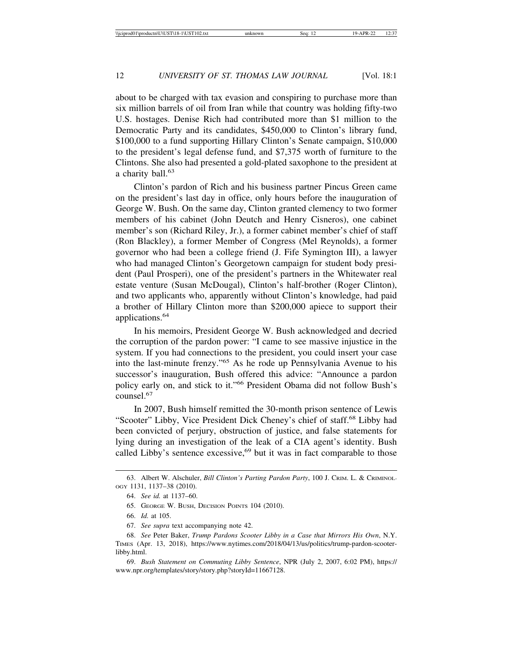about to be charged with tax evasion and conspiring to purchase more than six million barrels of oil from Iran while that country was holding fifty-two U.S. hostages. Denise Rich had contributed more than \$1 million to the Democratic Party and its candidates, \$450,000 to Clinton's library fund, \$100,000 to a fund supporting Hillary Clinton's Senate campaign, \$10,000 to the president's legal defense fund, and \$7,375 worth of furniture to the Clintons. She also had presented a gold-plated saxophone to the president at a charity ball.<sup>63</sup>

Clinton's pardon of Rich and his business partner Pincus Green came on the president's last day in office, only hours before the inauguration of George W. Bush. On the same day, Clinton granted clemency to two former members of his cabinet (John Deutch and Henry Cisneros), one cabinet member's son (Richard Riley, Jr.), a former cabinet member's chief of staff (Ron Blackley), a former Member of Congress (Mel Reynolds), a former governor who had been a college friend (J. Fife Symington III), a lawyer who had managed Clinton's Georgetown campaign for student body president (Paul Prosperi), one of the president's partners in the Whitewater real estate venture (Susan McDougal), Clinton's half-brother (Roger Clinton), and two applicants who, apparently without Clinton's knowledge, had paid a brother of Hillary Clinton more than \$200,000 apiece to support their applications.<sup>64</sup>

In his memoirs, President George W. Bush acknowledged and decried the corruption of the pardon power: "I came to see massive injustice in the system. If you had connections to the president, you could insert your case into the last-minute frenzy."65 As he rode up Pennsylvania Avenue to his successor's inauguration, Bush offered this advice: "Announce a pardon policy early on, and stick to it."66 President Obama did not follow Bush's counsel.67

In 2007, Bush himself remitted the 30-month prison sentence of Lewis "Scooter" Libby, Vice President Dick Cheney's chief of staff.<sup>68</sup> Libby had been convicted of perjury, obstruction of justice, and false statements for lying during an investigation of the leak of a CIA agent's identity. Bush called Libby's sentence excessive, $69$  but it was in fact comparable to those

<sup>63.</sup> Albert W. Alschuler, *Bill Clinton's Parting Pardon Party*, 100 J. CRIM. L. & CRIMINOL-OGY 1131, 1137–38 (2010).

<sup>64.</sup> *See id.* at 1137–60.

<sup>65.</sup> GEORGE W. BUSH, DECISION POINTS 104 (2010).

<sup>66.</sup> *Id.* at 105.

<sup>67.</sup> *See supra* text accompanying note 42.

<sup>68.</sup> *See* Peter Baker, *Trump Pardons Scooter Libby in a Case that Mirrors His Own*, N.Y. TIMES (Apr. 13, 2018), https://www.nytimes.com/2018/04/13/us/politics/trump-pardon-scooterlibby.html.

<sup>69.</sup> *Bush Statement on Commuting Libby Sentence*, NPR (July 2, 2007, 6:02 PM), https:// www.npr.org/templates/story/story.php?storyId=11667128.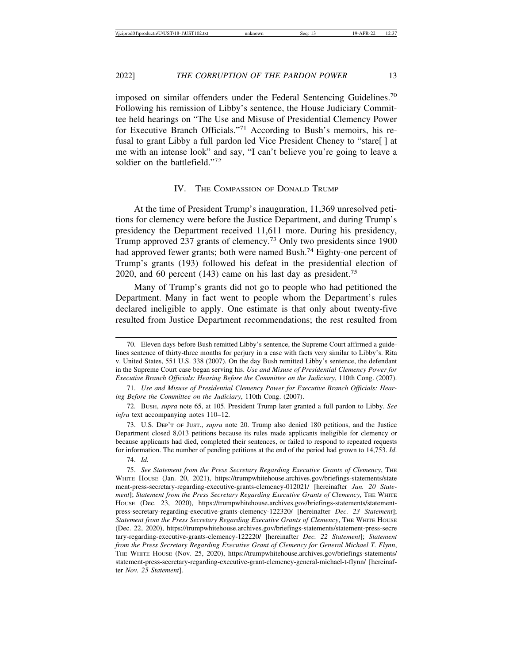imposed on similar offenders under the Federal Sentencing Guidelines.<sup>70</sup> Following his remission of Libby's sentence, the House Judiciary Committee held hearings on "The Use and Misuse of Presidential Clemency Power for Executive Branch Officials."71 According to Bush's memoirs, his refusal to grant Libby a full pardon led Vice President Cheney to "stare[ ] at me with an intense look" and say, "I can't believe you're going to leave a soldier on the battlefield."<sup>72</sup>

#### IV. THE COMPASSION OF DONALD TRUMP

At the time of President Trump's inauguration, 11,369 unresolved petitions for clemency were before the Justice Department, and during Trump's presidency the Department received 11,611 more. During his presidency, Trump approved 237 grants of clemency.73 Only two presidents since 1900 had approved fewer grants; both were named Bush.<sup>74</sup> Eighty-one percent of Trump's grants (193) followed his defeat in the presidential election of 2020, and 60 percent  $(143)$  came on his last day as president.<sup>75</sup>

Many of Trump's grants did not go to people who had petitioned the Department. Many in fact went to people whom the Department's rules declared ineligible to apply. One estimate is that only about twenty-five resulted from Justice Department recommendations; the rest resulted from

71. *Use and Misuse of Presidential Clemency Power for Executive Branch Officials: Hearing Before the Committee on the Judiciary*, 110th Cong. (2007).

74. *Id.*

<sup>70.</sup> Eleven days before Bush remitted Libby's sentence, the Supreme Court affirmed a guidelines sentence of thirty-three months for perjury in a case with facts very similar to Libby's. Rita v. United States, 551 U.S. 338 (2007). On the day Bush remitted Libby's sentence, the defendant in the Supreme Court case began serving his. *Use and Misuse of Presidential Clemency Power for Executive Branch Officials: Hearing Before the Committee on the Judiciary*, 110th Cong. (2007).

<sup>72.</sup> BUSH, *supra* note 65, at 105. President Trump later granted a full pardon to Libby. *See infra* text accompanying notes 110–12.

<sup>73.</sup> U.S. DEP'T OF JUST., *supra* note 20. Trump also denied 180 petitions, and the Justice Department closed 8,013 petitions because its rules made applicants ineligible for clemency or because applicants had died, completed their sentences, or failed to respond to repeated requests for information. The number of pending petitions at the end of the period had grown to 14,753. *Id*.

<sup>75.</sup> *See Statement from the Press Secretary Regarding Executive Grants of Clemency*, THE WHITE HOUSE (Jan. 20, 2021), https://trumpwhitehouse.archives.gov/briefings-statements/state ment-press-secretary-regarding-executive-grants-clemency-012021/ [hereinafter *Jan. 20 Statement*]; *Statement from the Press Secretary Regarding Executive Grants of Clemency*, THE WHITE HOUSE (Dec. 23, 2020), https://trumpwhitehouse.archives.gov/briefings-statements/statementpress-secretary-regarding-executive-grants-clemency-122320/ [hereinafter *Dec. 23 Statement*]; *Statement from the Press Secretary Regarding Executive Grants of Clemency*, THE WHITE HOUSE (Dec. 22, 2020), https://trumpwhitehouse.archives.gov/briefings-statements/statement-press-secre tary-regarding-executive-grants-clemency-122220/ [hereinafter *Dec. 22 Statement*]; *Statement from the Press Secretary Regarding Executive Grant of Clemency for General Michael T. Flynn*, THE WHITE HOUSE (Nov. 25, 2020), https://trumpwhitehouse.archives.gov/briefings-statements/ statement-press-secretary-regarding-executive-grant-clemency-general-michael-t-flynn/ [hereinafter *Nov. 25 Statement*].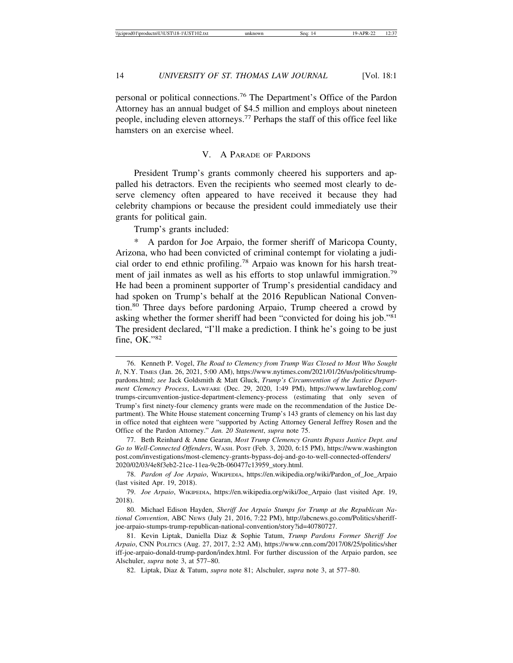personal or political connections.76 The Department's Office of the Pardon Attorney has an annual budget of \$4.5 million and employs about nineteen people, including eleven attorneys.77 Perhaps the staff of this office feel like hamsters on an exercise wheel.

### V. A PARADE OF PARDONS

President Trump's grants commonly cheered his supporters and appalled his detractors. Even the recipients who seemed most clearly to deserve clemency often appeared to have received it because they had celebrity champions or because the president could immediately use their grants for political gain.

Trump's grants included:

\* A pardon for Joe Arpaio, the former sheriff of Maricopa County, Arizona, who had been convicted of criminal contempt for violating a judicial order to end ethnic profiling.78 Arpaio was known for his harsh treatment of jail inmates as well as his efforts to stop unlawful immigration.<sup>79</sup> He had been a prominent supporter of Trump's presidential candidacy and had spoken on Trump's behalf at the 2016 Republican National Convention.<sup>80</sup> Three days before pardoning Arpaio, Trump cheered a crowd by asking whether the former sheriff had been "convicted for doing his job."<sup>81</sup> The president declared, "I'll make a prediction. I think he's going to be just fine, OK."<sup>82</sup>

82. Liptak, Diaz & Tatum, *supra* note 81; Alschuler, *supra* note 3, at 577–80.

<sup>76.</sup> Kenneth P. Vogel, *The Road to Clemency from Trump Was Closed to Most Who Sought It*, N.Y. TIMES (Jan. 26, 2021, 5:00 AM), https://www.nytimes.com/2021/01/26/us/politics/trumppardons.html; *see* Jack Goldsmith & Matt Gluck, *Trump's Circumvention of the Justice Department Clemency Process*, LAWFARE (Dec. 29, 2020, 1:49 PM), https://www.lawfareblog.com/ trumps-circumvention-justice-department-clemency-process (estimating that only seven of Trump's first ninety-four clemency grants were made on the recommendation of the Justice Department). The White House statement concerning Trump's 143 grants of clemency on his last day in office noted that eighteen were "supported by Acting Attorney General Jeffrey Rosen and the Office of the Pardon Attorney." *Jan. 20 Statement*, *supra* note 75.

<sup>77.</sup> Beth Reinhard & Anne Gearan, *Most Trump Clemency Grants Bypass Justice Dept. and Go to Well-Connected Offenders*, WASH. POST (Feb. 3, 2020, 6:15 PM), https://www.washington post.com/investigations/most-clemency-grants-bypass-doj-and-go-to-well-connected-offenders/ 2020/02/03/4e8f3eb2-21ce-11ea-9c2b-060477c13959\_story.html.

<sup>78.</sup> *Pardon of Joe Arpaio*, WIKIPEDIA, https://en.wikipedia.org/wiki/Pardon\_of\_Joe\_Arpaio (last visited Apr. 19, 2018).

<sup>79.</sup> *Joe Arpaio*, WIKIPEDIA, https://en.wikipedia.org/wiki/Joe\_Arpaio (last visited Apr. 19, 2018).

<sup>80.</sup> Michael Edison Hayden, *Sheriff Joe Arpaio Stumps for Trump at the Republican National Convention*, ABC NEWS (July 21, 2016, 7:22 PM), http://abcnews.go.com/Politics/sheriffjoe-arpaio-stumps-trump-republican-national-convention/story?id=40780727.

<sup>81.</sup> Kevin Liptak, Daniella Diaz & Sophie Tatum, *Trump Pardons Former Sheriff Joe Arpaio*, CNN POLITICS (Aug. 27, 2017, 2:32 AM), https://www.cnn.com/2017/08/25/politics/sher iff-joe-arpaio-donald-trump-pardon/index.html. For further discussion of the Arpaio pardon, see Alschuler, *supra* note 3, at 577–80.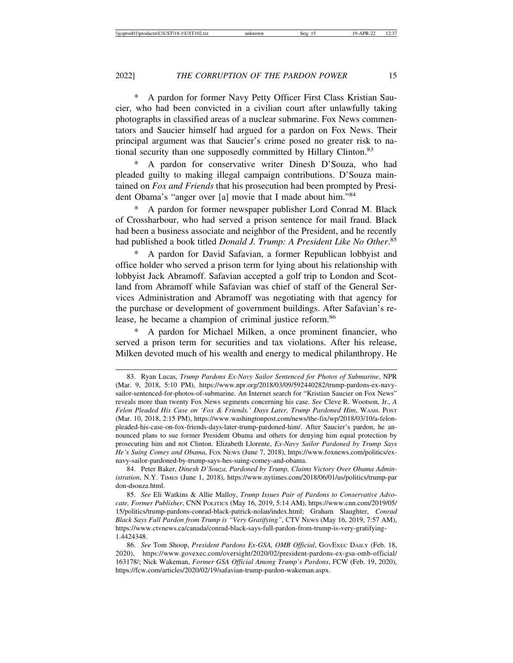A pardon for former Navy Petty Officer First Class Kristian Saucier, who had been convicted in a civilian court after unlawfully taking photographs in classified areas of a nuclear submarine. Fox News commentators and Saucier himself had argued for a pardon on Fox News. Their principal argument was that Saucier's crime posed no greater risk to national security than one supposedly committed by Hillary Clinton.<sup>83</sup>

A pardon for conservative writer Dinesh D'Souza, who had pleaded guilty to making illegal campaign contributions. D'Souza maintained on *Fox and Friends* that his prosecution had been prompted by President Obama's "anger over [a] movie that I made about him."<sup>84</sup>

A pardon for former newspaper publisher Lord Conrad M. Black of Crossharbour, who had served a prison sentence for mail fraud. Black had been a business associate and neighbor of the President, and he recently had published a book titled *Donald J. Trump: A President Like No Other*. 85

A pardon for David Safavian, a former Republican lobbyist and office holder who served a prison term for lying about his relationship with lobbyist Jack Abramoff. Safavian accepted a golf trip to London and Scotland from Abramoff while Safavian was chief of staff of the General Services Administration and Abramoff was negotiating with that agency for the purchase or development of government buildings. After Safavian's release, he became a champion of criminal justice reform.<sup>86</sup>

A pardon for Michael Milken, a once prominent financier, who served a prison term for securities and tax violations. After his release, Milken devoted much of his wealth and energy to medical philanthropy. He

<sup>83.</sup> Ryan Lucas, *Trump Pardons Ex-Navy Sailor Sentenced for Photos of Submarine*, NPR (Mar. 9, 2018, 5:10 PM), https://www.npr.org/2018/03/09/592440282/trump-pardons-ex-navysailor-sentenced-for-photos-of-submarine. An Internet search for "Kristian Saucier on Fox News" reveals more than twenty Fox News segments concerning his case. *See* Cleve R. Wootson, Jr., *A Felon Pleaded His Case on 'Fox & Friends.' Days Later, Trump Pardoned Him*, WASH. POST (Mar. 10, 2018, 2:15 PM), https://www.washingtonpost.com/news/the-fix/wp/2018/03/10/a-felonpleaded-his-case-on-fox-friends-days-later-trump-pardoned-him/. After Saucier's pardon, he announced plans to sue former President Obama and others for denying him equal protection by prosecuting him and not Clinton. Elizabeth Llorente, *Ex-Navy Sailor Pardoned by Trump Says He's Suing Comey and Obama*, FOX NEWS (June 7, 2018), https://www.foxnews.com/politics/exnavy-sailor-pardoned-by-trump-says-hes-suing-comey-and-obama.

<sup>84.</sup> Peter Baker, *Dinesh D'Souza, Pardoned by Trump, Claims Victory Over Obama Administration*, N.Y. TIMES (June 1, 2018), https://www.nytimes.com/2018/06/01/us/politics/trump-par don-dsouza.html.

<sup>85.</sup> *See* Eli Watkins & Allie Malloy, *Trump Issues Pair of Pardons to Conservative Advocate, Former Publisher*, CNN POLITICS (May 16, 2019, 5:14 AM), https://www.cnn.com/2019/05/ 15/politics/trump-pardons-conrad-black-patrick-nolan/index.html; Graham Slaughter, *Conrad Black Says Full Pardon from Trump is "Very Gratifying"*, CTV NEWS (May 16, 2019, 7:57 AM), https://www.ctvnews.ca/canada/conrad-black-says-full-pardon-from-trump-is-very-gratifying-1.4424348.

<sup>86.</sup> *See* Tom Shoop, *President Pardons Ex-GSA, OMB Official*, GOVEXEC DAILY (Feb. 18, 2020), https://www.govexec.com/oversight/2020/02/president-pardons-ex-gsa-omb-official/ 163178/; Nick Wakeman, *Former GSA Official Among Trump's Pardons*, FCW (Feb. 19, 2020), https://fcw.com/articles/2020/02/19/safavian-trump-pardon-wakeman.aspx.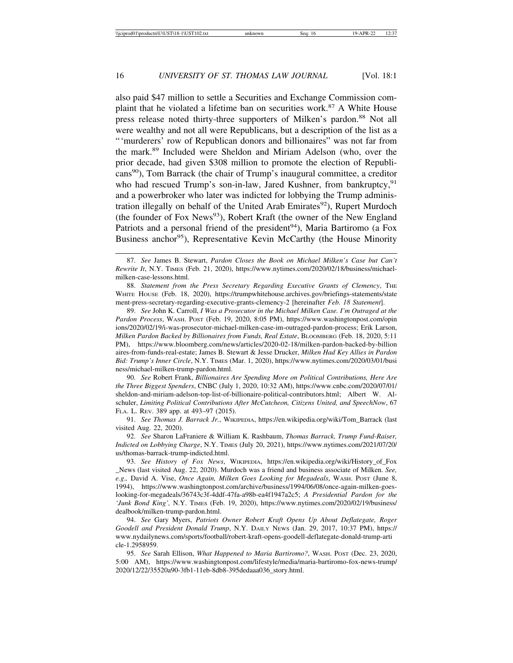also paid \$47 million to settle a Securities and Exchange Commission complaint that he violated a lifetime ban on securities work.<sup>87</sup> A White House press release noted thirty-three supporters of Milken's pardon.<sup>88</sup> Not all were wealthy and not all were Republicans, but a description of the list as a "'murderers' row of Republican donors and billionaires" was not far from the mark.89 Included were Sheldon and Miriam Adelson (who, over the prior decade, had given \$308 million to promote the election of Republicans90), Tom Barrack (the chair of Trump's inaugural committee, a creditor who had rescued Trump's son-in-law, Jared Kushner, from bankruptcy, <sup>91</sup> and a powerbroker who later was indicted for lobbying the Trump administration illegally on behalf of the United Arab Emirates<sup>92</sup>), Rupert Murdoch (the founder of Fox News93), Robert Kraft (the owner of the New England Patriots and a personal friend of the president<sup>94</sup>), Maria Bartiromo (a Fox Business anchor<sup>95</sup>), Representative Kevin McCarthy (the House Minority

88. *Statement from the Press Secretary Regarding Executive Grants of Clemency*, THE WHITE HOUSE (Feb. 18, 2020), https://trumpwhitehouse.archives.gov/briefings-statements/state ment-press-secretary-regarding-executive-grants-clemency-2 [hereinafter *Feb. 18 Statement*].

89. *See* John K. Carroll, *I Was a Prosecutor in the Michael Milken Case. I'm Outraged at the Pardon Process*, WASH. POST (Feb. 19, 2020, 8:05 PM), https://www.washingtonpost.com/opin ions/2020/02/19/i-was-prosecutor-michael-milken-case-im-outraged-pardon-process; Erik Larson, *Milken Pardon Backed by Billionaires from Funds, Real Estate*, BLOOMBERG (Feb. 18, 2020, 5:11 PM), https://www.bloomberg.com/news/articles/2020-02-18/milken-pardon-backed-by-billion aires-from-funds-real-estate; James B. Stewart & Jesse Drucker, *Milken Had Key Allies in Pardon Bid: Trump's Inner Circle*, N.Y. TIMES (Mar. 1, 2020), https://www.nytimes.com/2020/03/01/busi ness/michael-milken-trump-pardon.html.

90. *See* Robert Frank, *Billionaires Are Spending More on Political Contributions, Here Are the Three Biggest Spenders*, CNBC (July 1, 2020, 10:32 AM), https://www.cnbc.com/2020/07/01/ sheldon-and-miriam-adelson-top-list-of-billionaire-political-contributors.html; Albert W. Alschuler, *Limiting Political Contributions After McCutcheon, Citizens United, and SpeechNow*, 67 FLA. L. REV. 389 app. at 493–97 (2015).

91. *See Thomas J. Barrack Jr.*, WIKIPEDIA, https://en.wikipedia.org/wiki/Tom\_Barrack (last visited Aug. 22, 2020).

92. *See* Sharon LaFraniere & William K. Rashbaum, *Thomas Barrack, Trump Fund-Raiser, Indicted on Lobbying Charge*, N.Y. TIMES (July 20, 2021), https://www.nytimes.com/2021/07/20/ us/thomas-barrack-trump-indicted.html.

93. *See History of Fox News*, WIKIPEDIA, https://en.wikipedia.org/wiki/History\_of\_Fox \_News (last visited Aug. 22, 2020). Murdoch was a friend and business associate of Milken. *See, e.g*.*,* David A. Vise, *Once Again, Milken Goes Looking for Megadeals*, WASH. POST (June 8, 1994), https://www.washingtonpost.com/archive/business/1994/06/08/once-again-milken-goeslooking-for-megadeals/36743c3f-4ddf-47fa-a98b-ea4f1947a2c5; *A Presidential Pardon for the 'Junk Bond King',* N.Y. TIMES (Feb. 19, 2020), https://www.nytimes.com/2020/02/19/business/ dealbook/milken-trump-pardon.html.

94. *See* Gary Myers, *Patriots Owner Robert Kraft Opens Up About Deflategate, Roger Goodell and President Donald Trump*, N.Y. DAILY NEWS (Jan. 29, 2017, 10:37 PM), https:// www.nydailynews.com/sports/football/robert-kraft-opens-goodell-deflategate-donald-trump-arti cle-1.2958959.

95. *See* Sarah Ellison, *What Happened to Maria Bartiromo?*, WASH. POST (Dec. 23, 2020, 5:00 AM), https://www.washingtonpost.com/lifestyle/media/maria-bartiromo-fox-news-trump/ 2020/12/22/35520a90-3fb1-11eb-8db8-395dedaaa036\_story.html.

<sup>87.</sup> *See* James B. Stewart, *Pardon Closes the Book on Michael Milken's Case but Can't Rewrite It*, N.Y. TIMES (Feb. 21, 2020), https://www.nytimes.com/2020/02/18/business/michaelmilken-case-lessons.html.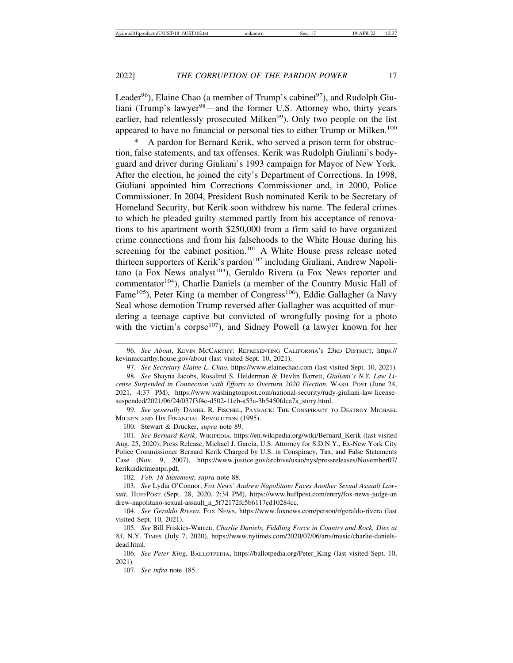Leader<sup>96</sup>), Elaine Chao (a member of Trump's cabinet<sup>97</sup>), and Rudolph Giuliani (Trump's lawyer<sup>98</sup>—and the former U.S. Attorney who, thirty years earlier, had relentlessly prosecuted Milken<sup>99</sup>). Only two people on the list appeared to have no financial or personal ties to either Trump or Milken.<sup>100</sup>

A pardon for Bernard Kerik, who served a prison term for obstruction, false statements, and tax offenses. Kerik was Rudolph Giuliani's bodyguard and driver during Giuliani's 1993 campaign for Mayor of New York. After the election, he joined the city's Department of Corrections. In 1998, Giuliani appointed him Corrections Commissioner and, in 2000, Police Commissioner. In 2004, President Bush nominated Kerik to be Secretary of Homeland Security, but Kerik soon withdrew his name. The federal crimes to which he pleaded guilty stemmed partly from his acceptance of renovations to his apartment worth \$250,000 from a firm said to have organized crime connections and from his falsehoods to the White House during his screening for the cabinet position.<sup>101</sup> A White House press release noted thirteen supporters of Kerik's pardon<sup>102</sup> including Giuliani, Andrew Napolitano (a Fox News analyst<sup>103</sup>), Geraldo Rivera (a Fox News reporter and commentator<sup>104</sup>), Charlie Daniels (a member of the Country Music Hall of Fame<sup>105</sup>), Peter King (a member of Congress<sup>106</sup>), Eddie Gallagher (a Navy Seal whose demotion Trump reversed after Gallagher was acquitted of murdering a teenage captive but convicted of wrongfully posing for a photo with the victim's corpse<sup>107</sup>), and Sidney Powell (a lawyer known for her

<sup>96.</sup> *See About*, KEVIN MCCARTHY: REPRESENTING CALIFORNIA'S 23RD DISTRICT, https:// kevinmccarthy.house.gov/about (last visited Sept. 10, 2021).

<sup>97.</sup> *See Secretary Elaine L. Chao*, https://www.elainechao.com (last visited Sept. 10, 2021).

<sup>98.</sup> *See* Shayna Jacobs, Rosalind S. Helderman & Devlin Barrett, *Giuliani's N.Y. Law License Suspended in Connection with Efforts to Overturn 2020 Election*, WASH. POST (June 24, 2021, 4:37 PM), https://www.washingtonpost.com/national-security/rudy-giuliani-law-licensesuspended/2021/06/24/037f3f4c-d502-11eb-a53a-3b5450fdca7a\_story.html.

<sup>99.</sup> *See generally* DANIEL R. FISCHEL, PAYBACK: THE CONSPIRACY TO DESTROY MICHAEL MILKEN AND HIS FINANCIAL REVOLUTION (1995).

<sup>100.</sup> Stewart & Drucker, *supra* note 89.

<sup>101.</sup> *See Bernard Kerik*, WIKIPEDIA, https://en.wikipedia.org/wiki/Bernard\_Kerik (last visited Aug. 25, 2020); Press Release, Michael J. Garcia, U.S. Attorney for S.D.N.Y., Ex-New York City Police Commissioner Bernard Kerik Charged by U.S. in Conspiracy, Tax, and False Statements Case (Nov. 9, 2007), https://www.justice.gov/archive/usao/nys/pressreleases/November07/ kerikindictmentpr.pdf.

<sup>102.</sup> *Feb. 18 Statement*, *supra* note 88.

<sup>103.</sup> *See* Lydia O'Connor, *Fox News' Andrew Napolitano Faces Another Sexual Assault Lawsuit*, HUFFPOST (Sept. 28, 2020, 2:34 PM), https://www.huffpost.com/entry/fox-news-judge-an drew-napolitano-sexual-assault\_n\_5f72172fc5b6117cd10284cc.

<sup>104.</sup> *See Geraldo Rivera*, FOX NEWS, https://www.foxnews.com/person/r/geraldo-rivera (last visited Sept. 10, 2021).

<sup>105.</sup> *See* Bill Friskics-Warren, *Charlie Daniels, Fiddling Force in Country and Rock, Dies at 83*, N.Y. TIMES (July 7, 2020), https://www.nytimes.com/2020/07/06/arts/music/charlie-danielsdead.html.

<sup>106.</sup> *See Peter King*, BALLOTPEDIA, https://ballotpedia.org/Peter\_King (last visited Sept. 10, 2021).

<sup>107.</sup> *See infra* note 185.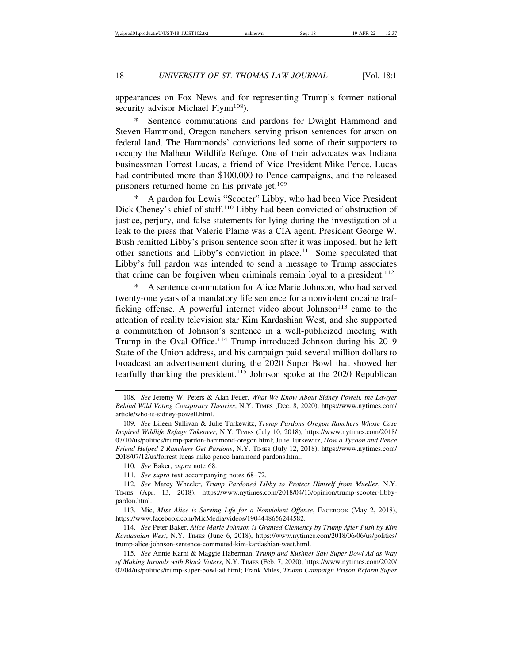appearances on Fox News and for representing Trump's former national security advisor Michael Flynn<sup>108</sup>).

Sentence commutations and pardons for Dwight Hammond and Steven Hammond, Oregon ranchers serving prison sentences for arson on federal land. The Hammonds' convictions led some of their supporters to occupy the Malheur Wildlife Refuge. One of their advocates was Indiana businessman Forrest Lucas, a friend of Vice President Mike Pence. Lucas had contributed more than \$100,000 to Pence campaigns, and the released prisoners returned home on his private jet.<sup>109</sup>

A pardon for Lewis "Scooter" Libby, who had been Vice President Dick Cheney's chief of staff.<sup>110</sup> Libby had been convicted of obstruction of justice, perjury, and false statements for lying during the investigation of a leak to the press that Valerie Plame was a CIA agent. President George W. Bush remitted Libby's prison sentence soon after it was imposed, but he left other sanctions and Libby's conviction in place.111 Some speculated that Libby's full pardon was intended to send a message to Trump associates that crime can be forgiven when criminals remain loyal to a president.<sup>112</sup>

\* A sentence commutation for Alice Marie Johnson, who had served twenty-one years of a mandatory life sentence for a nonviolent cocaine trafficking offense. A powerful internet video about Johnson<sup>113</sup> came to the attention of reality television star Kim Kardashian West, and she supported a commutation of Johnson's sentence in a well-publicized meeting with Trump in the Oval Office.<sup>114</sup> Trump introduced Johnson during his 2019 State of the Union address, and his campaign paid several million dollars to broadcast an advertisement during the 2020 Super Bowl that showed her tearfully thanking the president.<sup>115</sup> Johnson spoke at the 2020 Republican

110. *See* Baker, *supra* note 68.

111. *See supra* text accompanying notes 68–72.

112. *See* Marcy Wheeler, *Trump Pardoned Libby to Protect Himself from Mueller*, N.Y. TIMES (Apr. 13, 2018), https://www.nytimes.com/2018/04/13/opinion/trump-scooter-libbypardon.html.

113. Mic, *Miss Alice is Serving Life for a Nonviolent Offense*, FACEBOOK (May 2, 2018), https://www.facebook.com/MicMedia/videos/1904448656244582.

114. *See* Peter Baker, *Alice Marie Johnson is Granted Clemency by Trump After Push by Kim Kardashian West*, N.Y. TIMES (June 6, 2018), https://www.nytimes.com/2018/06/06/us/politics/ trump-alice-johnson-sentence-commuted-kim-kardashian-west.html.

115. *See* Annie Karni & Maggie Haberman, *Trump and Kushner Saw Super Bowl Ad as Way of Making Inroads with Black Voters*, N.Y. TIMES (Feb. 7, 2020), https://www.nytimes.com/2020/ 02/04/us/politics/trump-super-bowl-ad.html; Frank Miles, *Trump Campaign Prison Reform Super*

<sup>108.</sup> *See* Jeremy W. Peters & Alan Feuer, *What We Know About Sidney Powell, the Lawyer Behind Wild Voting Conspiracy Theories*, N.Y. TIMES (Dec. 8, 2020), https://www.nytimes.com/ article/who-is-sidney-powell.html.

<sup>109.</sup> *See* Eileen Sullivan & Julie Turkewitz, *Trump Pardons Oregon Ranchers Whose Case Inspired Wildlife Refuge Takeover*, N.Y. TIMES (July 10, 2018), https://www.nytimes.com/2018/ 07/10/us/politics/trump-pardon-hammond-oregon.html; Julie Turkewitz, *How a Tycoon and Pence Friend Helped 2 Ranchers Get Pardons*, N.Y. TIMES (July 12, 2018), https://www.nytimes.com/ 2018/07/12/us/forrest-lucas-mike-pence-hammond-pardons.html.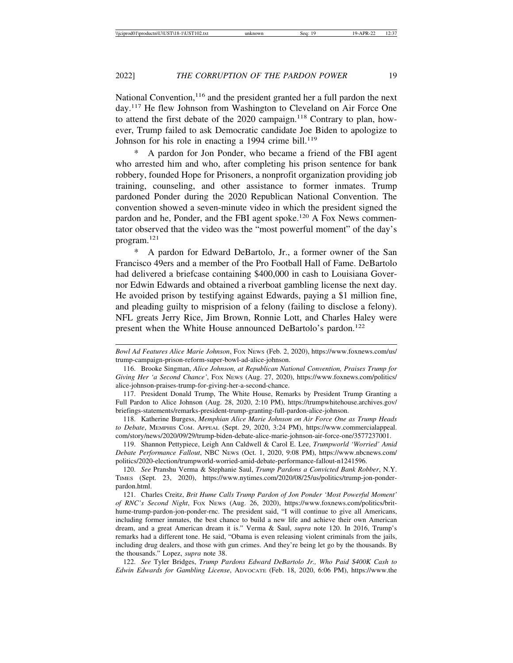National Convention, $116$  and the president granted her a full pardon the next day.117 He flew Johnson from Washington to Cleveland on Air Force One to attend the first debate of the 2020 campaign.<sup>118</sup> Contrary to plan, however, Trump failed to ask Democratic candidate Joe Biden to apologize to Johnson for his role in enacting a 1994 crime bill.<sup>119</sup>

A pardon for Jon Ponder, who became a friend of the FBI agent who arrested him and who, after completing his prison sentence for bank robbery, founded Hope for Prisoners, a nonprofit organization providing job training, counseling, and other assistance to former inmates. Trump pardoned Ponder during the 2020 Republican National Convention. The convention showed a seven-minute video in which the president signed the pardon and he, Ponder, and the FBI agent spoke.<sup>120</sup> A Fox News commentator observed that the video was the "most powerful moment" of the day's program.121

\* A pardon for Edward DeBartolo, Jr., a former owner of the San Francisco 49ers and a member of the Pro Football Hall of Fame. DeBartolo had delivered a briefcase containing \$400,000 in cash to Louisiana Governor Edwin Edwards and obtained a riverboat gambling license the next day. He avoided prison by testifying against Edwards, paying a \$1 million fine, and pleading guilty to misprision of a felony (failing to disclose a felony). NFL greats Jerry Rice, Jim Brown, Ronnie Lott, and Charles Haley were present when the White House announced DeBartolo's pardon.<sup>122</sup>

118. Katherine Burgess, *Memphian Alice Marie Johnson on Air Force One as Trump Heads to Debate*, MEMPHIS COM. APPEAL (Sept. 29, 2020, 3:24 PM), https://www.commercialappeal. com/story/news/2020/09/29/trump-biden-debate-alice-marie-johnson-air-force-one/3577237001.

119. Shannon Pettypiece, Leigh Ann Caldwell & Carol E. Lee, *Trumpworld 'Worried' Amid Debate Performance Fallout*, NBC NEWS (Oct. 1, 2020, 9:08 PM), https://www.nbcnews.com/ politics/2020-election/trumpworld-worried-amid-debate-performance-fallout-n1241596.

120. *See* Pranshu Verma & Stephanie Saul, *Trump Pardons a Convicted Bank Robber*, N.Y. TIMES (Sept. 23, 2020), https://www.nytimes.com/2020/08/25/us/politics/trump-jon-ponderpardon.html.

121. Charles Creitz, *Brit Hume Calls Trump Pardon of Jon Ponder 'Most Powerful Moment' of RNC's Second Night*, FOX NEWS (Aug. 26, 2020), https://www.foxnews.com/politics/brithume-trump-pardon-jon-ponder-rnc. The president said, "I will continue to give all Americans, including former inmates, the best chance to build a new life and achieve their own American dream, and a great American dream it is." Verma & Saul, *supra* note 120. In 2016, Trump's remarks had a different tone. He said, "Obama is even releasing violent criminals from the jails, including drug dealers, and those with gun crimes. And they're being let go by the thousands. By the thousands." Lopez, *supra* note 38.

122. *See* Tyler Bridges, *Trump Pardons Edward DeBartolo Jr., Who Paid \$400K Cash to Edwin Edwards for Gambling License*, ADVOCATE (Feb. 18, 2020, 6:06 PM), https://www.the

*Bowl Ad Features Alice Marie Johnson*, FOX NEWS (Feb. 2, 2020), https://www.foxnews.com/us/ trump-campaign-prison-reform-super-bowl-ad-alice-johnson.

<sup>116.</sup> Brooke Singman, *Alice Johnson, at Republican National Convention, Praises Trump for Giving Her 'a Second Chance'*, FOX NEWS (Aug. 27, 2020), https://www.foxnews.com/politics/ alice-johnson-praises-trump-for-giving-her-a-second-chance.

<sup>117.</sup> President Donald Trump, The White House, Remarks by President Trump Granting a Full Pardon to Alice Johnson (Aug. 28, 2020, 2:10 PM), https://trumpwhitehouse.archives.gov/ briefings-statements/remarks-president-trump-granting-full-pardon-alice-johnson.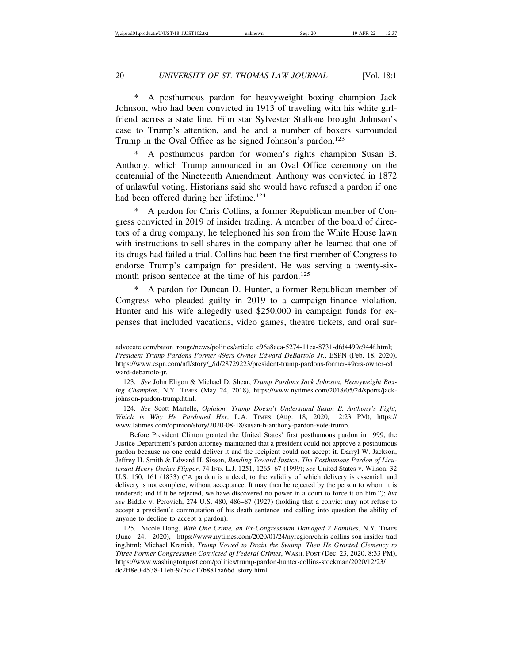\* A posthumous pardon for heavyweight boxing champion Jack Johnson, who had been convicted in 1913 of traveling with his white girlfriend across a state line. Film star Sylvester Stallone brought Johnson's case to Trump's attention, and he and a number of boxers surrounded Trump in the Oval Office as he signed Johnson's pardon.<sup>123</sup>

A posthumous pardon for women's rights champion Susan B. Anthony, which Trump announced in an Oval Office ceremony on the centennial of the Nineteenth Amendment. Anthony was convicted in 1872 of unlawful voting. Historians said she would have refused a pardon if one had been offered during her lifetime.<sup>124</sup>

\* A pardon for Chris Collins, a former Republican member of Congress convicted in 2019 of insider trading. A member of the board of directors of a drug company, he telephoned his son from the White House lawn with instructions to sell shares in the company after he learned that one of its drugs had failed a trial. Collins had been the first member of Congress to endorse Trump's campaign for president. He was serving a twenty-sixmonth prison sentence at the time of his pardon.<sup>125</sup>

\* A pardon for Duncan D. Hunter, a former Republican member of Congress who pleaded guilty in 2019 to a campaign-finance violation. Hunter and his wife allegedly used \$250,000 in campaign funds for expenses that included vacations, video games, theatre tickets, and oral sur-

124. *See* Scott Martelle, *Opinion: Trump Doesn't Understand Susan B. Anthony's Fight, Which is Why He Pardoned Her*, L.A. TIMES (Aug. 18, 2020, 12:23 PM), https:// www.latimes.com/opinion/story/2020-08-18/susan-b-anthony-pardon-vote-trump.

Before President Clinton granted the United States' first posthumous pardon in 1999, the Justice Department's pardon attorney maintained that a president could not approve a posthumous pardon because no one could deliver it and the recipient could not accept it. Darryl W. Jackson, Jeffrey H. Smith & Edward H. Sisson, *Bending Toward Justice: The Posthumous Pardon of Lieutenant Henry Ossian Flipper*, 74 IND. L.J. 1251, 1265–67 (1999); *see* United States v. Wilson, 32 U.S. 150, 161 (1833) ("A pardon is a deed, to the validity of which delivery is essential, and delivery is not complete, without acceptance. It may then be rejected by the person to whom it is tendered; and if it be rejected, we have discovered no power in a court to force it on him."); *but see* Biddle v. Perovich, 274 U.S. 480, 486–87 (1927) (holding that a convict may not refuse to accept a president's commutation of his death sentence and calling into question the ability of anyone to decline to accept a pardon).

125. Nicole Hong, *With One Crime, an Ex-Congressman Damaged 2 Families*, N.Y. TIMES (June 24, 2020), https://www.nytimes.com/2020/01/24/nyregion/chris-collins-son-insider-trad ing.html; Michael Kranish, *Trump Vowed to Drain the Swamp. Then He Granted Clemency to Three Former Congressmen Convicted of Federal Crimes*, WASH. POST (Dec. 23, 2020, 8:33 PM), https://www.washingtonpost.com/politics/trump-pardon-hunter-collins-stockman/2020/12/23/ dc2ff8e0-4538-11eb-975c-d17b8815a66d\_story.html.

advocate.com/baton\_rouge/news/politics/article\_c96a8aca-5274-11ea-8731-dfd4499e944f.html; *President Trump Pardons Former 49ers Owner Edward DeBartolo Jr.*, ESPN (Feb. 18, 2020), https://www.espn.com/nfl/story/\_/id/28729223/president-trump-pardons-former-49ers-owner-ed ward-debartolo-jr.

<sup>123.</sup> *See* John Eligon & Michael D. Shear, *Trump Pardons Jack Johnson, Heavyweight Boxing Champion*, N.Y. TIMES (May 24, 2018), https://www.nytimes.com/2018/05/24/sports/jackjohnson-pardon-trump.html.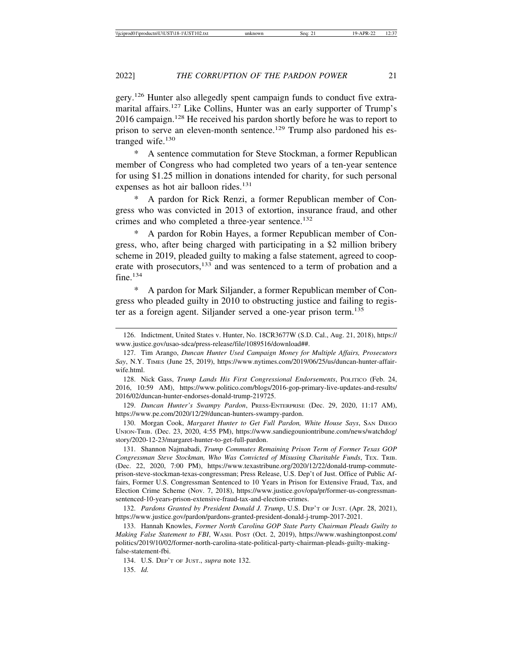gery.<sup>126</sup> Hunter also allegedly spent campaign funds to conduct five extramarital affairs.<sup>127</sup> Like Collins, Hunter was an early supporter of Trump's 2016 campaign.<sup>128</sup> He received his pardon shortly before he was to report to prison to serve an eleven-month sentence.<sup>129</sup> Trump also pardoned his estranged wife.<sup>130</sup>

A sentence commutation for Steve Stockman, a former Republican member of Congress who had completed two years of a ten-year sentence for using \$1.25 million in donations intended for charity, for such personal expenses as hot air balloon rides.<sup>131</sup>

A pardon for Rick Renzi, a former Republican member of Congress who was convicted in 2013 of extortion, insurance fraud, and other crimes and who completed a three-year sentence.<sup>132</sup>

A pardon for Robin Hayes, a former Republican member of Congress, who, after being charged with participating in a \$2 million bribery scheme in 2019, pleaded guilty to making a false statement, agreed to cooperate with prosecutors,<sup>133</sup> and was sentenced to a term of probation and a fine.<sup>134</sup>

A pardon for Mark Siljander, a former Republican member of Congress who pleaded guilty in 2010 to obstructing justice and failing to register as a foreign agent. Siljander served a one-year prison term.<sup>135</sup>

129. *Duncan Hunter's Swampy Pardon*, PRESS-ENTERPRISE (Dec. 29, 2020, 11:17 AM), https://www.pe.com/2020/12/29/duncan-hunters-swampy-pardon.

130. Morgan Cook, *Margaret Hunter to Get Full Pardon, White House Says*, SAN DIEGO UNION-TRIB. (Dec. 23, 2020, 4:55 PM), https://www.sandiegouniontribune.com/news/watchdog/ story/2020-12-23/margaret-hunter-to-get-full-pardon.

131. Shannon Najmabadi, *Trump Commutes Remaining Prison Term of Former Texas GOP Congressman Steve Stockman, Who Was Convicted of Misusing Charitable Funds*, TEX. TRIB. (Dec. 22, 2020, 7:00 PM), https://www.texastribune.org/2020/12/22/donald-trump-commuteprison-steve-stockman-texas-congressman; Press Release, U.S. Dep't of Just. Office of Public Affairs, Former U.S. Congressman Sentenced to 10 Years in Prison for Extensive Fraud, Tax, and Election Crime Scheme (Nov. 7, 2018), https://www.justice.gov/opa/pr/former-us-congressmansentenced-10-years-prison-extensive-fraud-tax-and-election-crimes.

132. *Pardons Granted by President Donald J. Trump*, U.S. DEP'T OF JUST. (Apr. 28, 2021), https://www.justice.gov/pardon/pardons-granted-president-donald-j-trump-2017-2021.

133. Hannah Knowles, *Former North Carolina GOP State Party Chairman Pleads Guilty to Making False Statement to FBI*, WASH. POST (Oct. 2, 2019), https://www.washingtonpost.com/ politics/2019/10/02/former-north-carolina-state-political-party-chairman-pleads-guilty-makingfalse-statement-fbi.

134. U.S. DEP'T OF JUST., *supra* note 132. 135. *Id.*

<sup>126.</sup> Indictment, United States v. Hunter, No. 18CR3677W (S.D. Cal., Aug. 21, 2018), https:// www.justice.gov/usao-sdca/press-release/file/1089516/download##.

<sup>127.</sup> Tim Arango, *Duncan Hunter Used Campaign Money for Multiple Affairs, Prosecutors Say*, N.Y. TIMES (June 25, 2019), https://www.nytimes.com/2019/06/25/us/duncan-hunter-affairwife.html.

<sup>128.</sup> Nick Gass, *Trump Lands His First Congressional Endorsements*, POLITICO (Feb. 24, 2016, 10:59 AM), https://www.politico.com/blogs/2016-gop-primary-live-updates-and-results/ 2016/02/duncan-hunter-endorses-donald-trump-219725.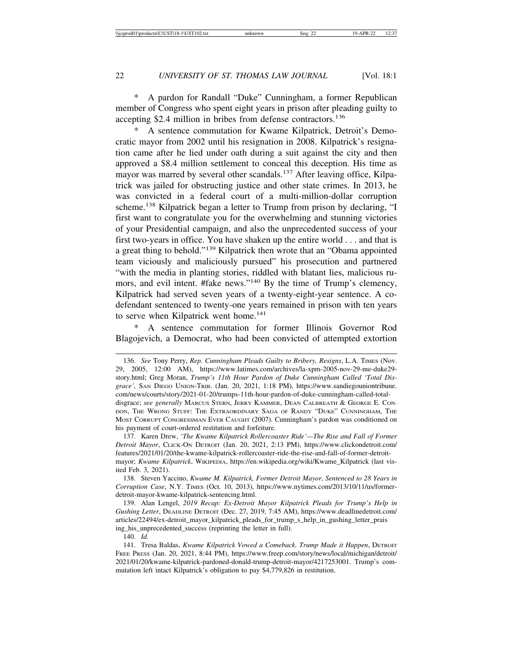\* A pardon for Randall "Duke" Cunningham, a former Republican member of Congress who spent eight years in prison after pleading guilty to accepting \$2.4 million in bribes from defense contractors.<sup>136</sup>

A sentence commutation for Kwame Kilpatrick, Detroit's Democratic mayor from 2002 until his resignation in 2008. Kilpatrick's resignation came after he lied under oath during a suit against the city and then approved a \$8.4 million settlement to conceal this deception. His time as mayor was marred by several other scandals.<sup>137</sup> After leaving office, Kilpatrick was jailed for obstructing justice and other state crimes. In 2013, he was convicted in a federal court of a multi-million-dollar corruption scheme.138 Kilpatrick began a letter to Trump from prison by declaring, "I first want to congratulate you for the overwhelming and stunning victories of your Presidential campaign, and also the unprecedented success of your first two-years in office. You have shaken up the entire world . . . and that is a great thing to behold."139 Kilpatrick then wrote that an "Obama appointed team viciously and maliciously pursued" his prosecution and partnered "with the media in planting stories, riddled with blatant lies, malicious rumors, and evil intent. #fake news."140 By the time of Trump's clemency, Kilpatrick had served seven years of a twenty-eight-year sentence. A codefendant sentenced to twenty-one years remained in prison with ten years to serve when Kilpatrick went home.<sup>141</sup>

A sentence commutation for former Illinois Governor Rod Blagojevich, a Democrat, who had been convicted of attempted extortion

140. *Id.*

<sup>136.</sup> *See* Tony Perry, *Rep. Cunningham Pleads Guilty to Bribery, Resigns*, L.A. TIMES (Nov. 29, 2005, 12:00 AM), https://www.latimes.com/archives/la-xpm-2005-nov-29-me-duke29 story.html; Greg Moran, *Trump's 11th Hour Pardon of Duke Cunningham Called 'Total Disgrace',* SAN DIEGO UNION-TRIB. (Jan. 20, 2021, 1:18 PM), https://www.sandiegouniontribune. com/news/courts/story/2021-01-20/trumps-11th-hour-pardon-of-duke-cunningham-called-totaldisgrace; *see generally* MARCUS STERN, JERRY KAMMER, DEAN CALBREATH & GEORGE E. CON-DON, THE WRONG STUFF: THE EXTRAORDINARY SAGA OF RANDY "DUKE" CUNNINGHAM, THE MOST CORRUPT CONGRESSMAN EVER CAUGHT (2007). Cunningham's pardon was conditioned on his payment of court-ordered restitution and forfeiture.

<sup>137.</sup> Karen Drew, *'The Kwame Kilpatrick Rollercoaster Ride'—The Rise and Fall of Former Detroit Mayor*, CLICK-ON DETROIT (Jan. 20, 2021, 2:13 PM), https://www.clickondetroit.com/ features/2021/01/20/the-kwame-kilpatrick-rollercoaster-ride-the-rise-and-fall-of-former-detroitmayor; *Kwame Kilpatrick*, WIKIPEDIA, https://en.wikipedia.org/wiki/Kwame\_Kilpatrick (last visited Feb. 3, 2021).

<sup>138.</sup> Steven Yaccino, *Kwame M. Kilpatrick, Former Detroit Mayor, Sentenced to 28 Years in Corruption Case*, N.Y. TIMES (Oct. 10, 2013), https://www.nytimes.com/2013/10/11/us/formerdetroit-mayor-kwame-kilpatrick-sentencing.html.

<sup>139.</sup> Alan Lengel, *2019 Recap: Ex-Detroit Mayor Kilpatrick Pleads for Trump's Help in Gushing Letter*, DEADLINE DETROIT (Dec. 27, 2019, 7:45 AM), https://www.deadlinedetroit.com/ articles/22494/ex-detroit\_mayor\_kilpatrick\_pleads\_for\_trump\_s\_help\_in\_gushing\_letter\_prais ing\_his\_unprecedented\_success (reprinting the letter in full).

<sup>141.</sup> Tresa Baldas, *Kwame Kilpatrick Vowed a Comeback. Trump Made it Happen*, DETROIT FREE PRESS (Jan. 20, 2021, 8:44 PM), https://www.freep.com/story/news/local/michigan/detroit/ 2021/01/20/kwame-kilpatrick-pardoned-donald-trump-detroit-mayor/4217253001. Trump's commutation left intact Kilpatrick's obligation to pay \$4,779,826 in restitution.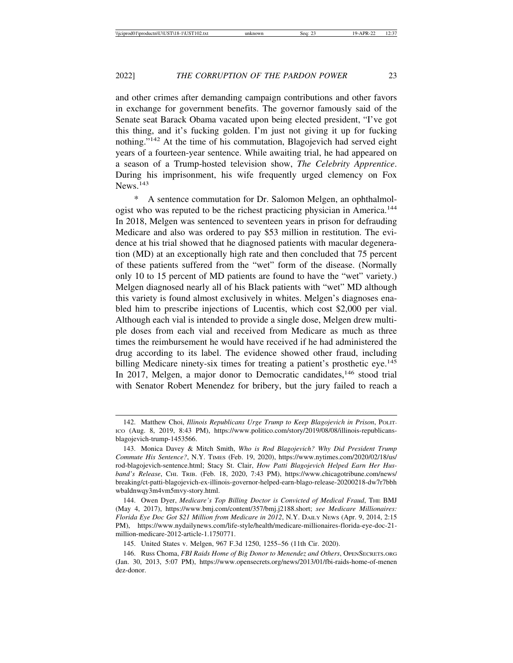and other crimes after demanding campaign contributions and other favors in exchange for government benefits. The governor famously said of the Senate seat Barack Obama vacated upon being elected president, "I've got this thing, and it's fucking golden. I'm just not giving it up for fucking nothing."<sup>142</sup> At the time of his commutation, Blagojevich had served eight years of a fourteen-year sentence. While awaiting trial, he had appeared on a season of a Trump-hosted television show, *The Celebrity Apprentice*. During his imprisonment, his wife frequently urged clemency on Fox News.<sup>143</sup>

\* A sentence commutation for Dr. Salomon Melgen, an ophthalmologist who was reputed to be the richest practicing physician in America.<sup>144</sup> In 2018, Melgen was sentenced to seventeen years in prison for defrauding Medicare and also was ordered to pay \$53 million in restitution. The evidence at his trial showed that he diagnosed patients with macular degeneration (MD) at an exceptionally high rate and then concluded that 75 percent of these patients suffered from the "wet" form of the disease. (Normally only 10 to 15 percent of MD patients are found to have the "wet" variety.) Melgen diagnosed nearly all of his Black patients with "wet" MD although this variety is found almost exclusively in whites. Melgen's diagnoses enabled him to prescribe injections of Lucentis, which cost \$2,000 per vial. Although each vial is intended to provide a single dose, Melgen drew multiple doses from each vial and received from Medicare as much as three times the reimbursement he would have received if he had administered the drug according to its label. The evidence showed other fraud, including billing Medicare ninety-six times for treating a patient's prosthetic eye.<sup>145</sup> In 2017, Melgen, a major donor to Democratic candidates,<sup>146</sup> stood trial with Senator Robert Menendez for bribery, but the jury failed to reach a

<sup>142.</sup> Matthew Choi, *Illinois Republicans Urge Trump to Keep Blagojevich in Prison*, POLIT-ICO (Aug. 8, 2019, 8:43 PM), https://www.politico.com/story/2019/08/08/illinois-republicansblagojevich-trump-1453566.

<sup>143.</sup> Monica Davey & Mitch Smith, *Who is Rod Blagojevich? Why Did President Trump Commute His Sentence?*, N.Y. TIMES (Feb. 19, 2020), https://www.nytimes.com/2020/02/18/us/ rod-blagojevich-sentence.html; Stacy St. Clair, *How Patti Blagojevich Helped Earn Her Husband's Release*, CHI. TRIB. (Feb. 18, 2020, 7:43 PM), https://www.chicagotribune.com/news/ breaking/ct-patti-blagojevich-ex-illinois-governor-helped-earn-blago-release-20200218-dw7r7bbh wbaldnwqy3m4vm5mvy-story.html.

<sup>144.</sup> Owen Dyer, *Medicare's Top Billing Doctor is Convicted of Medical Fraud*, THE BMJ (May 4, 2017), https://www.bmj.com/content/357/bmj.j2188.short; *see Medicare Millionaires: Florida Eye Doc Got \$21 Million from Medicare in 2012*, N.Y. DAILY NEWS (Apr. 9, 2014, 2:15 PM), https://www.nydailynews.com/life-style/health/medicare-millionaires-florida-eye-doc-21 million-medicare-2012-article-1.1750771.

<sup>145.</sup> United States v. Melgen, 967 F.3d 1250, 1255–56 (11th Cir. 2020).

<sup>146.</sup> Russ Choma, *FBI Raids Home of Big Donor to Menendez and Others*, OPENSECRETS.ORG (Jan. 30, 2013, 5:07 PM), https://www.opensecrets.org/news/2013/01/fbi-raids-home-of-menen dez-donor.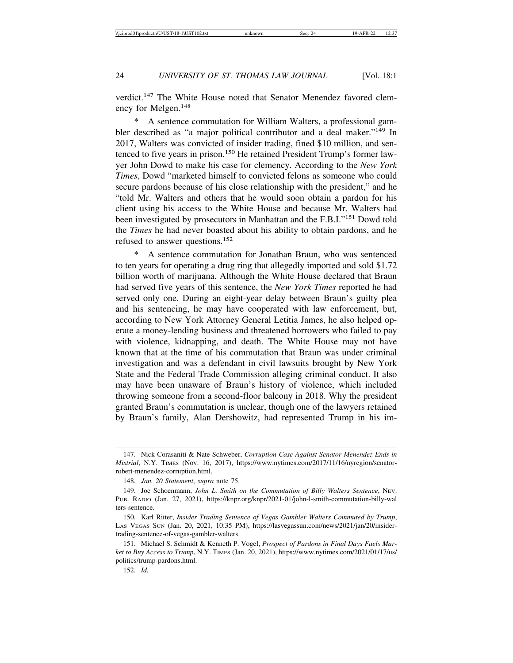verdict.<sup>147</sup> The White House noted that Senator Menendez favored clemency for Melgen.<sup>148</sup>

A sentence commutation for William Walters, a professional gambler described as "a major political contributor and a deal maker."149 In 2017, Walters was convicted of insider trading, fined \$10 million, and sentenced to five years in prison.<sup>150</sup> He retained President Trump's former lawyer John Dowd to make his case for clemency. According to the *New York Times*, Dowd "marketed himself to convicted felons as someone who could secure pardons because of his close relationship with the president," and he "told Mr. Walters and others that he would soon obtain a pardon for his client using his access to the White House and because Mr. Walters had been investigated by prosecutors in Manhattan and the F.B.I."151 Dowd told the *Times* he had never boasted about his ability to obtain pardons, and he refused to answer questions.<sup>152</sup>

A sentence commutation for Jonathan Braun, who was sentenced to ten years for operating a drug ring that allegedly imported and sold \$1.72 billion worth of marijuana. Although the White House declared that Braun had served five years of this sentence, the *New York Times* reported he had served only one. During an eight-year delay between Braun's guilty plea and his sentencing, he may have cooperated with law enforcement, but, according to New York Attorney General Letitia James, he also helped operate a money-lending business and threatened borrowers who failed to pay with violence, kidnapping, and death. The White House may not have known that at the time of his commutation that Braun was under criminal investigation and was a defendant in civil lawsuits brought by New York State and the Federal Trade Commission alleging criminal conduct. It also may have been unaware of Braun's history of violence, which included throwing someone from a second-floor balcony in 2018. Why the president granted Braun's commutation is unclear, though one of the lawyers retained by Braun's family, Alan Dershowitz, had represented Trump in his im-

<sup>147.</sup> Nick Corasaniti & Nate Schweber, *Corruption Case Against Senator Menendez Ends in Mistrial*, N.Y. TIMES (Nov. 16, 2017), https://www.nytimes.com/2017/11/16/nyregion/senatorrobert-menendez-corruption.html.

<sup>148.</sup> *Jan. 20 Statement*, *supra* note 75.

<sup>149.</sup> Joe Schoenmann, *John L. Smith on the Commutation of Billy Walters Sentence*, NEV. PUB. RADIO (Jan. 27, 2021), https://knpr.org/knpr/2021-01/john-l-smith-commutation-billy-wal ters-sentence.

<sup>150.</sup> Karl Ritter, *Insider Trading Sentence of Vegas Gambler Walters Commuted by Trump*, LAS VEGAS SUN (Jan. 20, 2021, 10:35 PM), https://lasvegassun.com/news/2021/jan/20/insidertrading-sentence-of-vegas-gambler-walters.

<sup>151.</sup> Michael S. Schmidt & Kenneth P. Vogel, *Prospect of Pardons in Final Days Fuels Market to Buy Access to Trump*, N.Y. TIMES (Jan. 20, 2021), https://www.nytimes.com/2021/01/17/us/ politics/trump-pardons.html.

<sup>152.</sup> *Id.*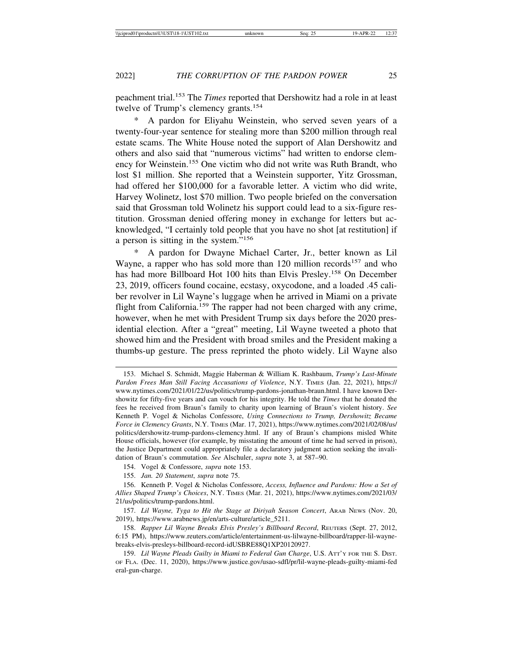peachment trial.153 The *Times* reported that Dershowitz had a role in at least twelve of Trump's clemency grants.<sup>154</sup>

A pardon for Eliyahu Weinstein, who served seven years of a twenty-four-year sentence for stealing more than \$200 million through real estate scams. The White House noted the support of Alan Dershowitz and others and also said that "numerous victims" had written to endorse clemency for Weinstein.155 One victim who did not write was Ruth Brandt, who lost \$1 million. She reported that a Weinstein supporter, Yitz Grossman, had offered her \$100,000 for a favorable letter. A victim who did write, Harvey Wolinetz, lost \$70 million. Two people briefed on the conversation said that Grossman told Wolinetz his support could lead to a six-figure restitution. Grossman denied offering money in exchange for letters but acknowledged, "I certainly told people that you have no shot [at restitution] if a person is sitting in the system."<sup>156</sup>

\* A pardon for Dwayne Michael Carter, Jr., better known as Lil Wayne, a rapper who has sold more than  $120$  million records<sup>157</sup> and who has had more Billboard Hot 100 hits than Elvis Presley.<sup>158</sup> On December 23, 2019, officers found cocaine, ecstasy, oxycodone, and a loaded .45 caliber revolver in Lil Wayne's luggage when he arrived in Miami on a private flight from California.<sup>159</sup> The rapper had not been charged with any crime, however, when he met with President Trump six days before the 2020 presidential election. After a "great" meeting, Lil Wayne tweeted a photo that showed him and the President with broad smiles and the President making a thumbs-up gesture. The press reprinted the photo widely. Lil Wayne also

<sup>153.</sup> Michael S. Schmidt, Maggie Haberman & William K. Rashbaum, *Trump's Last-Minute Pardon Frees Man Still Facing Accusations of Violence*, N.Y. TIMES (Jan. 22, 2021), https:// www.nytimes.com/2021/01/22/us/politics/trump-pardons-jonathan-braun.html. I have known Dershowitz for fifty-five years and can vouch for his integrity. He told the *Times* that he donated the fees he received from Braun's family to charity upon learning of Braun's violent history. *See* Kenneth P. Vogel & Nicholas Confessore, *Using Connections to Trump, Dershowitz Became Force in Clemency Grants*, N.Y. TIMES (Mar. 17, 2021), https://www.nytimes.com/2021/02/08/us/ politics/dershowitz-trump-pardons-clemency.html. If any of Braun's champions misled White House officials, however (for example, by misstating the amount of time he had served in prison), the Justice Department could appropriately file a declaratory judgment action seeking the invalidation of Braun's commutation. *See* Alschuler, *supra* note 3, at 587–90.

<sup>154.</sup> Vogel & Confessore, *supra* note 153.

<sup>155.</sup> *Jan. 20 Statement*, *supra* note 75.

<sup>156.</sup> Kenneth P. Vogel & Nicholas Confessore, *Access, Influence and Pardons: How a Set of Allies Shaped Trump's Choices*, N.Y. TIMES (Mar. 21, 2021), https://www.nytimes.com/2021/03/ 21/us/politics/trump-pardons.html.

<sup>157.</sup> *Lil Wayne, Tyga to Hit the Stage at Diriyah Season Concert*, ARAB NEWS (Nov. 20, 2019), https://www.arabnews.jp/en/arts-culture/article\_5211.

<sup>158.</sup> *Rapper Lil Wayne Breaks Elvis Presley's Billboard Record*, REUTERS (Sept. 27, 2012, 6:15 PM), https://www.reuters.com/article/entertainment-us-lilwayne-billboard/rapper-lil-waynebreaks-elvis-presleys-billboard-record-idUSBRE88Q1XP20120927.

<sup>159.</sup> *Lil Wayne Pleads Guilty in Miami to Federal Gun Charge*, U.S. ATT'Y FOR THE S. DIST. OF FLA. (Dec. 11, 2020), https://www.justice.gov/usao-sdfl/pr/lil-wayne-pleads-guilty-miami-fed eral-gun-charge.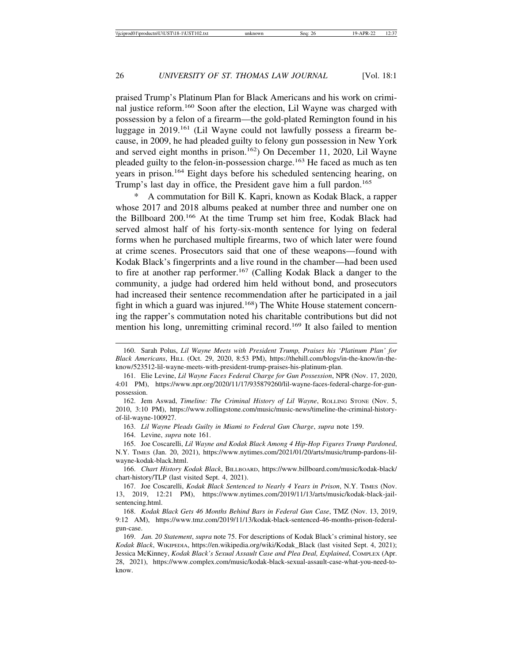praised Trump's Platinum Plan for Black Americans and his work on criminal justice reform.160 Soon after the election, Lil Wayne was charged with possession by a felon of a firearm—the gold-plated Remington found in his luggage in 2019.161 (Lil Wayne could not lawfully possess a firearm because, in 2009, he had pleaded guilty to felony gun possession in New York and served eight months in prison.162) On December 11, 2020, Lil Wayne pleaded guilty to the felon-in-possession charge.<sup>163</sup> He faced as much as ten years in prison.164 Eight days before his scheduled sentencing hearing, on Trump's last day in office, the President gave him a full pardon.<sup>165</sup>

A commutation for Bill K. Kapri, known as Kodak Black, a rapper whose 2017 and 2018 albums peaked at number three and number one on the Billboard 200.166 At the time Trump set him free, Kodak Black had served almost half of his forty-six-month sentence for lying on federal forms when he purchased multiple firearms, two of which later were found at crime scenes. Prosecutors said that one of these weapons—found with Kodak Black's fingerprints and a live round in the chamber—had been used to fire at another rap performer.167 (Calling Kodak Black a danger to the community, a judge had ordered him held without bond, and prosecutors had increased their sentence recommendation after he participated in a jail fight in which a guard was injured.<sup>168</sup>) The White House statement concerning the rapper's commutation noted his charitable contributions but did not mention his long, unremitting criminal record.169 It also failed to mention

- 162. Jem Aswad, *Timeline: The Criminal History of Lil Wayne*, ROLLING STONE (Nov. 5, 2010, 3:10 PM), https://www.rollingstone.com/music/music-news/timeline-the-criminal-historyof-lil-wayne-100927.
	- 163. *Lil Wayne Pleads Guilty in Miami to Federal Gun Charge*, *supra* note 159.
	- 164. Levine, *supra* note 161.

<sup>160.</sup> Sarah Polus, *Lil Wayne Meets with President Trump, Praises his 'Platinum Plan' for Black Americans*, HILL (Oct. 29, 2020, 8:53 PM), https://thehill.com/blogs/in-the-know/in-theknow/523512-lil-wayne-meets-with-president-trump-praises-his-platinum-plan.

<sup>161.</sup> Elie Levine, *Lil Wayne Faces Federal Charge for Gun Possession*, NPR (Nov. 17, 2020, 4:01 PM), https://www.npr.org/2020/11/17/935879260/lil-wayne-faces-federal-charge-for-gunpossession.

<sup>165.</sup> Joe Coscarelli, *Lil Wayne and Kodak Black Among 4 Hip-Hop Figures Trump Pardoned*, N.Y. TIMES (Jan. 20, 2021), https://www.nytimes.com/2021/01/20/arts/music/trump-pardons-lilwayne-kodak-black.html.

<sup>166.</sup> *Chart History Kodak Black*, BILLBOARD, https://www.billboard.com/music/kodak-black/ chart-history/TLP (last visited Sept. 4, 2021).

<sup>167.</sup> Joe Coscarelli, *Kodak Black Sentenced to Nearly 4 Years in Prison*, N.Y. TIMES (Nov. 13, 2019, 12:21 PM), https://www.nytimes.com/2019/11/13/arts/music/kodak-black-jailsentencing.html.

<sup>168.</sup> *Kodak Black Gets 46 Months Behind Bars in Federal Gun Case*, TMZ (Nov. 13, 2019, 9:12 AM), https://www.tmz.com/2019/11/13/kodak-black-sentenced-46-months-prison-federalgun-case.

<sup>169.</sup> *Jan. 20 Statement*, *supra* note 75. For descriptions of Kodak Black's criminal history, see *Kodak Black*, WIKIPEDIA, https://en.wikipedia.org/wiki/Kodak\_Black (last visited Sept. 4, 2021); Jessica McKinney, *Kodak Black's Sexual Assault Case and Plea Deal, Explained*, COMPLEX (Apr. 28, 2021), https://www.complex.com/music/kodak-black-sexual-assault-case-what-you-need-toknow.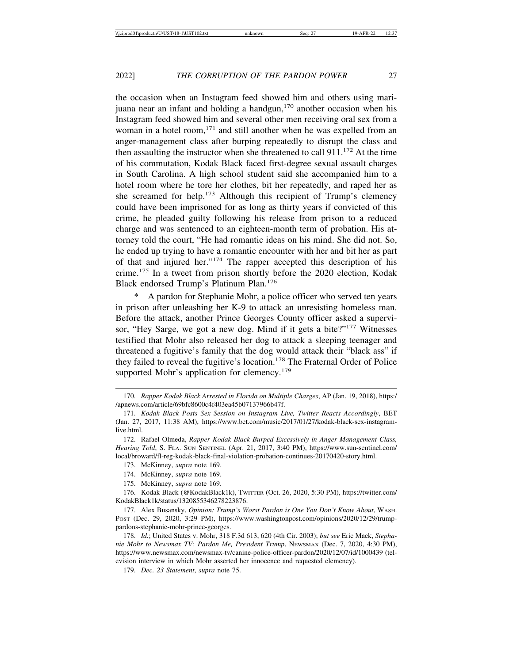the occasion when an Instagram feed showed him and others using marijuana near an infant and holding a handgun, $170$  another occasion when his Instagram feed showed him and several other men receiving oral sex from a woman in a hotel room,<sup>171</sup> and still another when he was expelled from an anger-management class after burping repeatedly to disrupt the class and then assaulting the instructor when she threatened to call  $911$ .<sup>172</sup> At the time of his commutation, Kodak Black faced first-degree sexual assault charges in South Carolina. A high school student said she accompanied him to a hotel room where he tore her clothes, bit her repeatedly, and raped her as she screamed for help.<sup>173</sup> Although this recipient of Trump's clemency could have been imprisoned for as long as thirty years if convicted of this crime, he pleaded guilty following his release from prison to a reduced charge and was sentenced to an eighteen-month term of probation. His attorney told the court, "He had romantic ideas on his mind. She did not. So, he ended up trying to have a romantic encounter with her and bit her as part of that and injured her."174 The rapper accepted this description of his crime.175 In a tweet from prison shortly before the 2020 election, Kodak Black endorsed Trump's Platinum Plan.<sup>176</sup>

A pardon for Stephanie Mohr, a police officer who served ten years in prison after unleashing her K-9 to attack an unresisting homeless man. Before the attack, another Prince Georges County officer asked a supervisor, "Hey Sarge, we got a new dog. Mind if it gets a bite?"<sup>177</sup> Witnesses testified that Mohr also released her dog to attack a sleeping teenager and threatened a fugitive's family that the dog would attack their "black ass" if they failed to reveal the fugitive's location.178 The Fraternal Order of Police supported Mohr's application for clemency.<sup>179</sup>

179. *Dec. 23 Statement*, *supra* note 75.

<sup>170.</sup> *Rapper Kodak Black Arrested in Florida on Multiple Charges*, AP (Jan. 19, 2018), https:/ /apnews.com/article/69bfc8600c4f403ea45b07137966b47f.

<sup>171.</sup> *Kodak Black Posts Sex Session on Instagram Live, Twitter Reacts Accordingly*, BET (Jan. 27, 2017, 11:38 AM), https://www.bet.com/music/2017/01/27/kodak-black-sex-instagramlive.html.

<sup>172.</sup> Rafael Olmeda, *Rapper Kodak Black Burped Excessively in Anger Management Class, Hearing Told*, S. FLA. SUN SENTINEL (Apr. 21, 2017, 3:40 PM), https://www.sun-sentinel.com/ local/broward/fl-reg-kodak-black-final-violation-probation-continues-20170420-story.html.

<sup>173.</sup> McKinney, *supra* note 169.

<sup>174.</sup> McKinney, *supra* note 169.

<sup>175.</sup> McKinney, *supra* note 169.

<sup>176.</sup> Kodak Black (@KodakBlack1k), TWITTER (Oct. 26, 2020, 5:30 PM), https://twitter.com/ KodakBlack1k/status/1320855346278223876.

<sup>177.</sup> Alex Busansky, *Opinion: Trump's Worst Pardon is One You Don't Know About*, WASH. POST (Dec. 29, 2020, 3:29 PM), https://www.washingtonpost.com/opinions/2020/12/29/trumppardons-stephanie-mohr-prince-georges.

<sup>178.</sup> *Id.*; United States v. Mohr, 318 F.3d 613, 620 (4th Cir. 2003); *but see* Eric Mack, *Stephanie Mohr to Newsmax TV: Pardon Me, President Trump*, NEWSMAX (Dec. 7, 2020, 4:30 PM), https://www.newsmax.com/newsmax-tv/canine-police-officer-pardon/2020/12/07/id/1000439 (television interview in which Mohr asserted her innocence and requested clemency).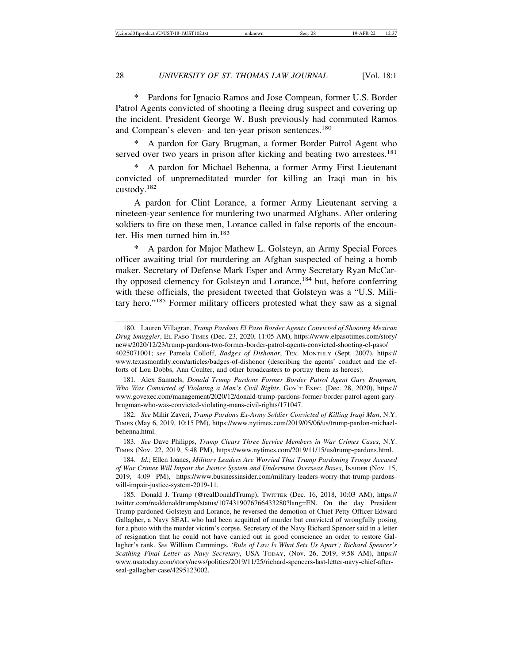\* Pardons for Ignacio Ramos and Jose Compean, former U.S. Border Patrol Agents convicted of shooting a fleeing drug suspect and covering up the incident. President George W. Bush previously had commuted Ramos and Compean's eleven- and ten-year prison sentences.<sup>180</sup>

A pardon for Gary Brugman, a former Border Patrol Agent who served over two years in prison after kicking and beating two arrestees.<sup>181</sup>

A pardon for Michael Behenna, a former Army First Lieutenant convicted of unpremeditated murder for killing an Iraqi man in his custody.<sup>182</sup>

A pardon for Clint Lorance, a former Army Lieutenant serving a nineteen-year sentence for murdering two unarmed Afghans. After ordering soldiers to fire on these men, Lorance called in false reports of the encounter. His men turned him in.<sup>183</sup>

A pardon for Major Mathew L. Golsteyn, an Army Special Forces officer awaiting trial for murdering an Afghan suspected of being a bomb maker. Secretary of Defense Mark Esper and Army Secretary Ryan McCarthy opposed clemency for Golsteyn and Lorance,<sup>184</sup> but, before conferring with these officials, the president tweeted that Golsteyn was a "U.S. Military hero."185 Former military officers protested what they saw as a signal

181. Alex Samuels, *Donald Trump Pardons Former Border Patrol Agent Gary Brugman, Who Was Convicted of Violating a Man's Civil Rights*, GOV'T EXEC. (Dec. 28, 2020), https:// www.govexec.com/management/2020/12/donald-trump-pardons-former-border-patrol-agent-garybrugman-who-was-convicted-violating-mans-civil-rights/171047.

182. *See* Mihir Zaveri, *Trump Pardons Ex-Army Soldier Convicted of Killing Iraqi Man*, N.Y. TIMES (May 6, 2019, 10:15 PM), https://www.nytimes.com/2019/05/06/us/trump-pardon-michaelbehenna.html.

183. *See* Dave Philipps, *Trump Clears Three Service Members in War Crimes Cases*, N.Y. TIMES (Nov. 22, 2019, 5:48 PM), https://www.nytimes.com/2019/11/15/us/trump-pardons.html.

184. *Id.*; Ellen Ioanes, *Military Leaders Are Worried That Trump Pardoning Troops Accused of War Crimes Will Impair the Justice System and Undermine Overseas Bases*, INSIDER (Nov. 15, 2019, 4:09 PM), https://www.businessinsider.com/military-leaders-worry-that-trump-pardonswill-impair-justice-system-2019-11.

185. Donald J. Trump (@realDonaldTrump), TWITTER (Dec. 16, 2018, 10:03 AM), https:// twitter.com/realdonaldtrump/status/1074319076766433280?lang=EN. On the day President Trump pardoned Golsteyn and Lorance, he reversed the demotion of Chief Petty Officer Edward Gallagher, a Navy SEAL who had been acquitted of murder but convicted of wrongfully posing for a photo with the murder victim's corpse. Secretary of the Navy Richard Spencer said in a letter of resignation that he could not have carried out in good conscience an order to restore Gallagher's rank. *See* William Cummings, *'Rule of Law Is What Sets Us Apart'; Richard Spencer's Scathing Final Letter as Navy Secretary*, USA TODAY, (Nov. 26, 2019, 9:58 AM), https:// www.usatoday.com/story/news/politics/2019/11/25/richard-spencers-last-letter-navy-chief-afterseal-gallagher-case/4295123002.

<sup>180.</sup> Lauren Villagran, *Trump Pardons El Paso Border Agents Convicted of Shooting Mexican Drug Smuggler*, EL PASO TIMES (Dec. 23, 2020, 11:05 AM), https://www.elpasotimes.com/story/ news/2020/12/23/trump-pardons-two-former-border-patrol-agents-convicted-shooting-el-paso/ 4025071001; *see* Pamela Colloff, *Badges of Dishonor*, TEX. MONTHLY (Sept. 2007), https:// www.texasmonthly.com/articles/badges-of-dishonor (describing the agents' conduct and the efforts of Lou Dobbs, Ann Coulter, and other broadcasters to portray them as heroes).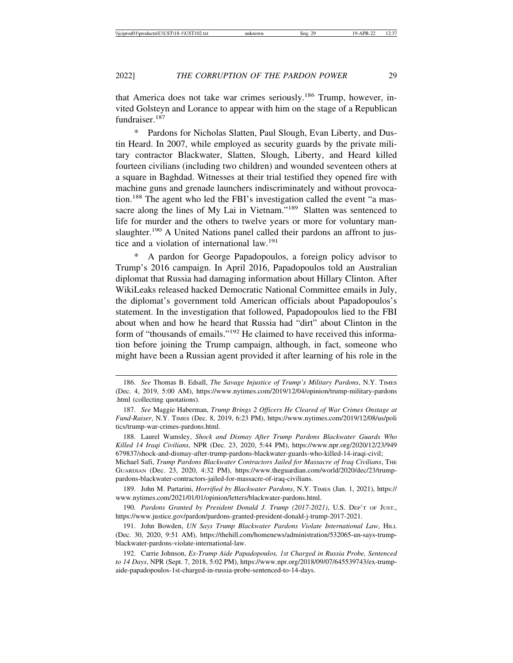that America does not take war crimes seriously.186 Trump, however, invited Golsteyn and Lorance to appear with him on the stage of a Republican fundraiser.187

\* Pardons for Nicholas Slatten, Paul Slough, Evan Liberty, and Dustin Heard. In 2007, while employed as security guards by the private military contractor Blackwater, Slatten, Slough, Liberty, and Heard killed fourteen civilians (including two children) and wounded seventeen others at a square in Baghdad. Witnesses at their trial testified they opened fire with machine guns and grenade launchers indiscriminately and without provocation.188 The agent who led the FBI's investigation called the event "a massacre along the lines of My Lai in Vietnam."<sup>189</sup> Slatten was sentenced to life for murder and the others to twelve years or more for voluntary manslaughter.<sup>190</sup> A United Nations panel called their pardons an affront to justice and a violation of international law.<sup>191</sup>

\* A pardon for George Papadopoulos, a foreign policy advisor to Trump's 2016 campaign. In April 2016, Papadopoulos told an Australian diplomat that Russia had damaging information about Hillary Clinton. After WikiLeaks released hacked Democratic National Committee emails in July, the diplomat's government told American officials about Papadopoulos's statement. In the investigation that followed, Papadopoulos lied to the FBI about when and how he heard that Russia had "dirt" about Clinton in the form of "thousands of emails."192 He claimed to have received this information before joining the Trump campaign, although, in fact, someone who might have been a Russian agent provided it after learning of his role in the

<sup>186.</sup> *See* Thomas B. Edsall, *The Savage Injustice of Trump's Military Pardons*, N.Y. TIMES (Dec. 4, 2019, 5:00 AM), https://www.nytimes.com/2019/12/04/opinion/trump-military-pardons .html (collecting quotations).

<sup>187.</sup> *See* Maggie Haberman, *Trump Brings 2 Officers He Cleared of War Crimes Onstage at Fund-Raiser*, N.Y. TIMES (Dec. 8, 2019, 6:23 PM), https://www.nytimes.com/2019/12/08/us/poli tics/trump-war-crimes-pardons.html.

<sup>188.</sup> Laurel Wamsley, *Shock and Dismay After Trump Pardons Blackwater Guards Who Killed 14 Iraqi Civilians*, NPR (Dec. 23, 2020, 5:44 PM), https://www.npr.org/2020/12/23/949 679837/shock-and-dismay-after-trump-pardons-blackwater-guards-who-killed-14-iraqi-civil; Michael Safi, *Trump Pardons Blackwater Contractors Jailed for Massacre of Iraq Civilians*, THE

GUARDIAN (Dec. 23, 2020, 4:32 PM), https://www.theguardian.com/world/2020/dec/23/trumppardons-blackwater-contractors-jailed-for-massacre-of-iraq-civilians.

<sup>189.</sup> John M. Partarini, *Horrified by Blackwater Pardons*, N.Y. TIMES (Jan. 1, 2021), https:// www.nytimes.com/2021/01/01/opinion/letters/blackwater-pardons.html.

<sup>190.</sup> *Pardons Granted by President Donald J. Trump (2017-2021)*, U.S. DEP'T OF JUST., https://www.justice.gov/pardon/pardons-granted-president-donald-j-trump-2017-2021.

<sup>191.</sup> John Bowden, *UN Says Trump Blackwater Pardons Violate International Law*, HILL (Dec. 30, 2020, 9:51 AM), https://thehill.com/homenews/administration/532065-un-says-trumpblackwater-pardons-violate-international-law.

<sup>192.</sup> Carrie Johnson, *Ex-Trump Aide Papadopoulos, 1st Charged in Russia Probe, Sentenced to 14 Days*, NPR (Sept. 7, 2018, 5:02 PM), https://www.npr.org/2018/09/07/645539743/ex-trumpaide-papadopoulos-1st-charged-in-russia-probe-sentenced-to-14-days.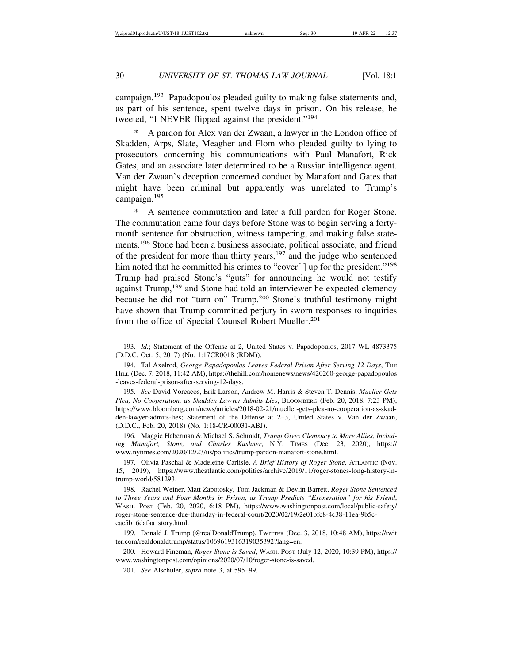campaign.193 Papadopoulos pleaded guilty to making false statements and, as part of his sentence, spent twelve days in prison. On his release, he tweeted, "I NEVER flipped against the president."<sup>194</sup>

A pardon for Alex van der Zwaan, a lawyer in the London office of Skadden, Arps, Slate, Meagher and Flom who pleaded guilty to lying to prosecutors concerning his communications with Paul Manafort, Rick Gates, and an associate later determined to be a Russian intelligence agent. Van der Zwaan's deception concerned conduct by Manafort and Gates that might have been criminal but apparently was unrelated to Trump's campaign.<sup>195</sup>

\* A sentence commutation and later a full pardon for Roger Stone. The commutation came four days before Stone was to begin serving a fortymonth sentence for obstruction, witness tampering, and making false statements.196 Stone had been a business associate, political associate, and friend of the president for more than thirty years,<sup>197</sup> and the judge who sentenced him noted that he committed his crimes to "cover[] up for the president."<sup>198</sup> Trump had praised Stone's "guts" for announcing he would not testify against Trump,199 and Stone had told an interviewer he expected clemency because he did not "turn on" Trump.200 Stone's truthful testimony might have shown that Trump committed perjury in sworn responses to inquiries from the office of Special Counsel Robert Mueller.<sup>201</sup>

195. *See* David Voreacos, Erik Larson, Andrew M. Harris & Steven T. Dennis, *Mueller Gets Plea, No Cooperation, as Skadden Lawyer Admits Lies*, BLOOMBERG (Feb. 20, 2018, 7:23 PM), https://www.bloomberg.com/news/articles/2018-02-21/mueller-gets-plea-no-cooperation-as-skadden-lawyer-admits-lies; Statement of the Offense at 2–3, United States v. Van der Zwaan, (D.D.C., Feb. 20, 2018) (No. 1:18-CR-00031-ABJ).

196. Maggie Haberman & Michael S. Schmidt, *Trump Gives Clemency to More Allies, Including Manafort, Stone, and Charles Kushner*, N.Y. TIMES (Dec. 23, 2020), https:// www.nytimes.com/2020/12/23/us/politics/trump-pardon-manafort-stone.html.

197. Olivia Paschal & Madeleine Carlisle, *A Brief History of Roger Stone*, ATLANTIC (Nov. 15, 2019), https://www.theatlantic.com/politics/archive/2019/11/roger-stones-long-history-intrump-world/581293.

198. Rachel Weiner, Matt Zapotosky, Tom Jackman & Devlin Barrett, *Roger Stone Sentenced to Three Years and Four Months in Prison, as Trump Predicts "Exoneration" for his Friend*, WASH. POST (Feb. 20, 2020, 6:18 PM), https://www.washingtonpost.com/local/public-safety/ roger-stone-sentence-due-thursday-in-federal-court/2020/02/19/2e01bfc8-4c38-11ea-9b5ceac5b16dafaa\_story.html.

199. Donald J. Trump (@realDonaldTrump), TWITTER (Dec. 3, 2018, 10:48 AM), https://twit ter.com/realdonaldtrump/status/1069619316319035392?lang=en.

200. Howard Fineman, *Roger Stone is Saved*, WASH. POST (July 12, 2020, 10:39 PM), https:// www.washingtonpost.com/opinions/2020/07/10/roger-stone-is-saved.

201. *See* Alschuler, *supra* note 3, at 595–99.

<sup>193.</sup> *Id.*; Statement of the Offense at 2, United States v. Papadopoulos, 2017 WL 4873375 (D.D.C. Oct. 5, 2017) (No. 1:17CR0018 (RDM)).

<sup>194.</sup> Tal Axelrod, *George Papadopoulos Leaves Federal Prison After Serving 12 Days*, THE HILL (Dec. 7, 2018, 11:42 AM), https://thehill.com/homenews/news/420260-george-papadopoulos -leaves-federal-prison-after-serving-12-days.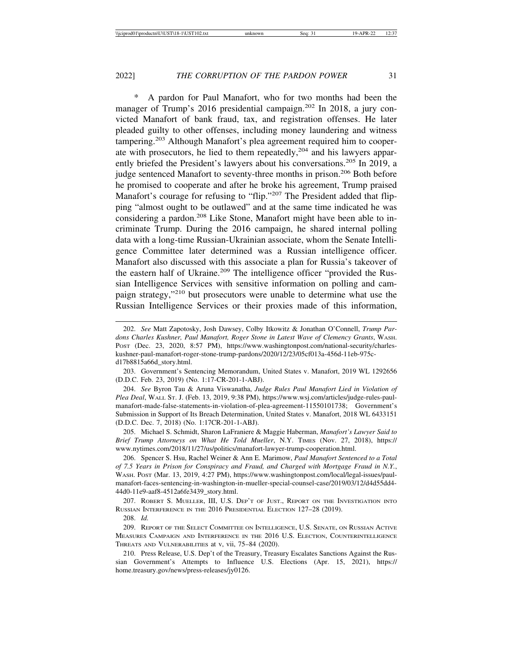A pardon for Paul Manafort, who for two months had been the manager of Trump's 2016 presidential campaign.<sup>202</sup> In 2018, a jury convicted Manafort of bank fraud, tax, and registration offenses. He later pleaded guilty to other offenses, including money laundering and witness tampering.203 Although Manafort's plea agreement required him to cooperate with prosecutors, he lied to them repeatedly,204 and his lawyers apparently briefed the President's lawyers about his conversations.<sup>205</sup> In 2019, a judge sentenced Manafort to seventy-three months in prison.<sup>206</sup> Both before he promised to cooperate and after he broke his agreement, Trump praised Manafort's courage for refusing to "flip."<sup>207</sup> The President added that flipping "almost ought to be outlawed" and at the same time indicated he was considering a pardon.208 Like Stone, Manafort might have been able to incriminate Trump. During the 2016 campaign, he shared internal polling data with a long-time Russian-Ukrainian associate, whom the Senate Intelligence Committee later determined was a Russian intelligence officer. Manafort also discussed with this associate a plan for Russia's takeover of the eastern half of Ukraine.<sup>209</sup> The intelligence officer "provided the Russian Intelligence Services with sensitive information on polling and campaign strategy,"210 but prosecutors were unable to determine what use the Russian Intelligence Services or their proxies made of this information,

203. Government's Sentencing Memorandum, United States v. Manafort, 2019 WL 1292656 (D.D.C. Feb. 23, 2019) (No. 1:17-CR-201-1-ABJ).

204. *See* Byron Tau & Aruna Viswanatha, *Judge Rules Paul Manafort Lied in Violation of Plea Deal*, WALL ST. J. (Feb. 13, 2019, 9:38 PM), https://www.wsj.com/articles/judge-rules-paulmanafort-made-false-statements-in-violation-of-plea-agreement-11550101738; Government's Submission in Support of Its Breach Determination, United States v. Manafort, 2018 WL 6433151 (D.D.C. Dec. 7, 2018) (No. 1:17CR-201-1-ABJ).

205. Michael S. Schmidt, Sharon LaFraniere & Maggie Haberman, *Manafort's Lawyer Said to Brief Trump Attorneys on What He Told Mueller*, N.Y. TIMES (Nov. 27, 2018), https:// www.nytimes.com/2018/11/27/us/politics/manafort-lawyer-trump-cooperation.html.

206. Spencer S. Hsu, Rachel Weiner & Ann E. Marimow, *Paul Manafort Sentenced to a Total of 7.5 Years in Prison for Conspiracy and Fraud, and Charged with Mortgage Fraud in N.Y.*, WASH. POST (Mar. 13, 2019, 4:27 PM), https://www.washingtonpost.com/local/legal-issues/paulmanafort-faces-sentencing-in-washington-in-mueller-special-counsel-case/2019/03/12/d4d55dd4- 44d0-11e9-aaf8-4512a6fe3439\_story.html.

207. ROBERT S. MUELLER, III, U.S. DEP'T OF JUST., REPORT ON THE INVESTIGATION INTO RUSSIAN INTERFERENCE IN THE 2016 PRESIDENTIAL ELECTION 127–28 (2019).

208. *Id.*

209. REPORT OF THE SELECT COMMITTEE ON INTELLIGENCE, U.S. SENATE, ON RUSSIAN ACTIVE MEASURES CAMPAIGN AND INTERFERENCE IN THE 2016 U.S. ELECTION, COUNTERINTELLIGENCE THREATS AND VULNERABILITIES at v, vii, 75–84 (2020).

210. Press Release, U.S. Dep't of the Treasury, Treasury Escalates Sanctions Against the Russian Government's Attempts to Influence U.S. Elections (Apr. 15, 2021), https:// home.treasury.gov/news/press-releases/jy0126.

<sup>202.</sup> *See* Matt Zapotosky, Josh Dawsey, Colby Itkowitz & Jonathan O'Connell, *Trump Pardons Charles Kushner, Paul Manafort, Roger Stone in Latest Wave of Clemency Grants*, WASH. POST (Dec. 23, 2020, 8:57 PM), https://www.washingtonpost.com/national-security/charleskushner-paul-manafort-roger-stone-trump-pardons/2020/12/23/05cf013a-456d-11eb-975cd17b8815a66d\_story.html.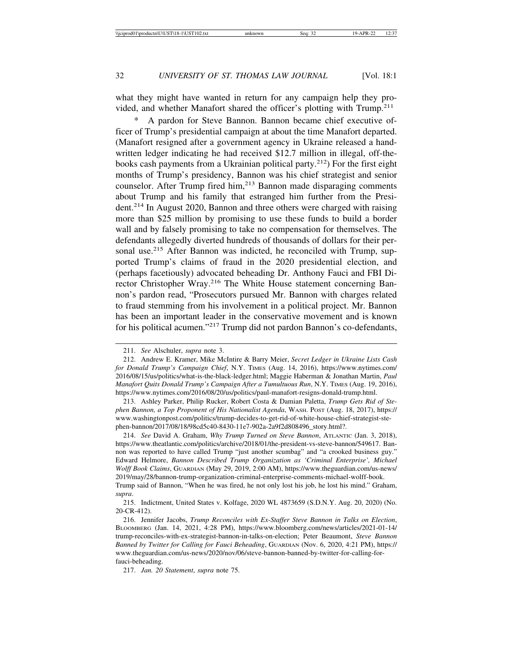what they might have wanted in return for any campaign help they provided, and whether Manafort shared the officer's plotting with Trump.<sup>211</sup>

A pardon for Steve Bannon. Bannon became chief executive officer of Trump's presidential campaign at about the time Manafort departed. (Manafort resigned after a government agency in Ukraine released a handwritten ledger indicating he had received \$12.7 million in illegal, off-thebooks cash payments from a Ukrainian political party.<sup>212</sup>) For the first eight months of Trump's presidency, Bannon was his chief strategist and senior counselor. After Trump fired him,<sup>213</sup> Bannon made disparaging comments about Trump and his family that estranged him further from the President.214 In August 2020, Bannon and three others were charged with raising more than \$25 million by promising to use these funds to build a border wall and by falsely promising to take no compensation for themselves. The defendants allegedly diverted hundreds of thousands of dollars for their personal use.<sup>215</sup> After Bannon was indicted, he reconciled with Trump, supported Trump's claims of fraud in the 2020 presidential election, and (perhaps facetiously) advocated beheading Dr. Anthony Fauci and FBI Director Christopher Wray.<sup>216</sup> The White House statement concerning Bannon's pardon read, "Prosecutors pursued Mr. Bannon with charges related to fraud stemming from his involvement in a political project. Mr. Bannon has been an important leader in the conservative movement and is known for his political acumen."217 Trump did not pardon Bannon's co-defendants,

<sup>211.</sup> *See* Alschuler, *supra* note 3.

<sup>212.</sup> Andrew E. Kramer, Mike McIntire & Barry Meier, *Secret Ledger in Ukraine Lists Cash for Donald Trump's Campaign Chief*, N.Y. TIMES (Aug. 14, 2016), https://www.nytimes.com/ 2016/08/15/us/politics/what-is-the-black-ledger.html; Maggie Haberman & Jonathan Martin, *Paul Manafort Quits Donald Trump's Campaign After a Tumultuous Run*, N.Y. TIMES (Aug. 19, 2016), https://www.nytimes.com/2016/08/20/us/politics/paul-manafort-resigns-donald-trump.html.

<sup>213.</sup> Ashley Parker, Philip Rucker, Robert Costa & Damian Paletta, *Trump Gets Rid of Stephen Bannon, a Top Proponent of His Nationalist Agenda*, WASH. POST (Aug. 18, 2017), https:// www.washingtonpost.com/politics/trump-decides-to-get-rid-of-white-house-chief-strategist-stephen-bannon/2017/08/18/98cd5c40-8430-11e7-902a-2a9f2d808496\_story.html?.

<sup>214.</sup> *See* David A. Graham, *Why Trump Turned on Steve Bannon*, ATLANTIC (Jan. 3, 2018), https://www.theatlantic.com/politics/archive/2018/01/the-president-vs-steve-bannon/549617. Bannon was reported to have called Trump "just another scumbag" and "a crooked business guy." Edward Helmore, *Bannon Described Trump Organization as 'Criminal Enterprise', Michael Wolff Book Claims*, GUARDIAN (May 29, 2019, 2:00 AM), https://www.theguardian.com/us-news/ 2019/may/28/bannon-trump-organization-criminal-enterprise-comments-michael-wolff-book. Trump said of Bannon, "When he was fired, he not only lost his job, he lost his mind." Graham,

*supra*. 215. Indictment, United States v. Kolfage, 2020 WL 4873659 (S.D.N.Y. Aug. 20, 2020) (No. 20-CR-412).

<sup>216.</sup> Jennifer Jacobs, *Trump Reconciles with Ex-Staffer Steve Bannon in Talks on Election*, BLOOMBERG (Jan. 14, 2021, 4:28 PM), https://www.bloomberg.com/news/articles/2021-01-14/ trump-reconciles-with-ex-strategist-bannon-in-talks-on-election; Peter Beaumont, *Steve Bannon Banned by Twitter for Calling for Fauci Beheading*, GUARDIAN (Nov. 6, 2020, 4:21 PM), https:// www.theguardian.com/us-news/2020/nov/06/steve-bannon-banned-by-twitter-for-calling-forfauci-beheading.

<sup>217.</sup> *Jan. 20 Statement*, *supra* note 75.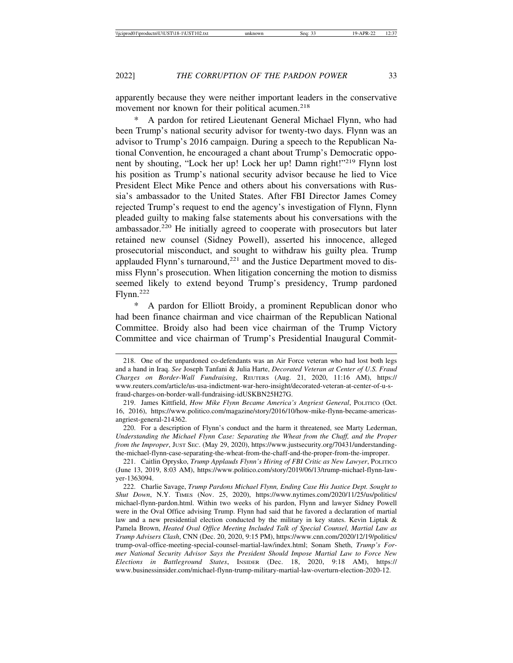apparently because they were neither important leaders in the conservative movement nor known for their political acumen.<sup>218</sup>

A pardon for retired Lieutenant General Michael Flynn, who had been Trump's national security advisor for twenty-two days. Flynn was an advisor to Trump's 2016 campaign. During a speech to the Republican National Convention, he encouraged a chant about Trump's Democratic opponent by shouting, "Lock her up! Lock her up! Damn right!"219 Flynn lost his position as Trump's national security advisor because he lied to Vice President Elect Mike Pence and others about his conversations with Russia's ambassador to the United States. After FBI Director James Comey rejected Trump's request to end the agency's investigation of Flynn, Flynn pleaded guilty to making false statements about his conversations with the ambassador.220 He initially agreed to cooperate with prosecutors but later retained new counsel (Sidney Powell), asserted his innocence, alleged prosecutorial misconduct, and sought to withdraw his guilty plea. Trump applauded Flynn's turnaround, $^{221}$  and the Justice Department moved to dismiss Flynn's prosecution. When litigation concerning the motion to dismiss seemed likely to extend beyond Trump's presidency, Trump pardoned Flynn.222

A pardon for Elliott Broidy, a prominent Republican donor who had been finance chairman and vice chairman of the Republican National Committee. Broidy also had been vice chairman of the Trump Victory Committee and vice chairman of Trump's Presidential Inaugural Commit-

<sup>218.</sup> One of the unpardoned co-defendants was an Air Force veteran who had lost both legs and a hand in Iraq. *See* Joseph Tanfani & Julia Harte, *Decorated Veteran at Center of U.S. Fraud Charges on Border-Wall Fundraising*, REUTERS (Aug. 21, 2020, 11:16 AM), https:// www.reuters.com/article/us-usa-indictment-war-hero-insight/decorated-veteran-at-center-of-u-sfraud-charges-on-border-wall-fundraising-idUSKBN25H27G.

<sup>219.</sup> James Kittfield, *How Mike Flynn Became America's Angriest General*, POLITICO (Oct. 16, 2016), https://www.politico.com/magazine/story/2016/10/how-mike-flynn-became-americasangriest-general-214362.

<sup>220.</sup> For a description of Flynn's conduct and the harm it threatened, see Marty Lederman, *Understanding the Michael Flynn Case: Separating the Wheat from the Chaff, and the Proper from the Improper*, Just Sec. (May 29, 2020), https://www.justsecurity.org/70431/understandingthe-michael-flynn-case-separating-the-wheat-from-the-chaff-and-the-proper-from-the-improper.

<sup>221.</sup> Caitlin Oprysko, *Trump Applauds Flynn's Hiring of FBI Critic as New Lawyer*, POLITICO (June 13, 2019, 8:03 AM), https://www.politico.com/story/2019/06/13/trump-michael-flynn-lawyer-1363094.

<sup>222.</sup> Charlie Savage, *Trump Pardons Michael Flynn, Ending Case His Justice Dept. Sought to Shut Down*, N.Y. TIMES (Nov. 25, 2020), https://www.nytimes.com/2020/11/25/us/politics/ michael-flynn-pardon.html. Within two weeks of his pardon, Flynn and lawyer Sidney Powell were in the Oval Office advising Trump. Flynn had said that he favored a declaration of martial law and a new presidential election conducted by the military in key states. Kevin Liptak & Pamela Brown, *Heated Oval Office Meeting Included Talk of Special Counsel, Martial Law as Trump Advisers Clash*, CNN (Dec. 20, 2020, 9:15 PM), https://www.cnn.com/2020/12/19/politics/ trump-oval-office-meeting-special-counsel-martial-law/index.html; Sonam Sheth, *Trump's Former National Security Advisor Says the President Should Impose Martial Law to Force New Elections in Battleground States*, INSIDER (Dec. 18, 2020, 9:18 AM), https:// www.businessinsider.com/michael-flynn-trump-military-martial-law-overturn-election-2020-12.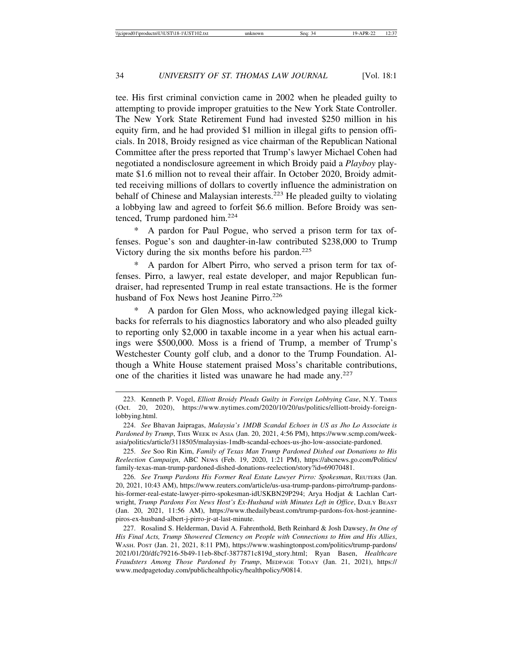tee. His first criminal conviction came in 2002 when he pleaded guilty to attempting to provide improper gratuities to the New York State Controller. The New York State Retirement Fund had invested \$250 million in his equity firm, and he had provided \$1 million in illegal gifts to pension officials. In 2018, Broidy resigned as vice chairman of the Republican National Committee after the press reported that Trump's lawyer Michael Cohen had negotiated a nondisclosure agreement in which Broidy paid a *Playboy* playmate \$1.6 million not to reveal their affair. In October 2020, Broidy admitted receiving millions of dollars to covertly influence the administration on behalf of Chinese and Malaysian interests.223 He pleaded guilty to violating a lobbying law and agreed to forfeit \$6.6 million. Before Broidy was sentenced, Trump pardoned him.<sup>224</sup>

A pardon for Paul Pogue, who served a prison term for tax offenses. Pogue's son and daughter-in-law contributed \$238,000 to Trump Victory during the six months before his pardon.<sup>225</sup>

A pardon for Albert Pirro, who served a prison term for tax offenses. Pirro, a lawyer, real estate developer, and major Republican fundraiser, had represented Trump in real estate transactions. He is the former husband of Fox News host Jeanine Pirro.<sup>226</sup>

A pardon for Glen Moss, who acknowledged paying illegal kickbacks for referrals to his diagnostics laboratory and who also pleaded guilty to reporting only \$2,000 in taxable income in a year when his actual earnings were \$500,000. Moss is a friend of Trump, a member of Trump's Westchester County golf club, and a donor to the Trump Foundation. Although a White House statement praised Moss's charitable contributions, one of the charities it listed was unaware he had made any.<sup>227</sup>

226. *See Trump Pardons His Former Real Estate Lawyer Pirro: Spokesman*, REUTERS (Jan. 20, 2021, 10:43 AM), https://www.reuters.com/article/us-usa-trump-pardons-pirro/trump-pardonshis-former-real-estate-lawyer-pirro-spokesman-idUSKBN29P294; Arya Hodjat & Lachlan Cartwright, *Trump Pardons Fox News Host's Ex-Husband with Minutes Left in Office*, DAILY BEAST (Jan. 20, 2021, 11:56 AM), https://www.thedailybeast.com/trump-pardons-fox-host-jeanninepiros-ex-husband-albert-j-pirro-jr-at-last-minute.

227. Rosalind S. Helderman, David A. Fahrenthold, Beth Reinhard & Josh Dawsey, *In One of His Final Acts, Trump Showered Clemency on People with Connections to Him and His Allies*, WASH. POST (Jan. 21, 2021, 8:11 PM), https://www.washingtonpost.com/politics/trump-pardons/ 2021/01/20/dfc79216-5b49-11eb-8bcf-3877871c819d\_story.html; Ryan Basen, *Healthcare Fraudsters Among Those Pardoned by Trump*, MEDPAGE TODAY (Jan. 21, 2021), https:// www.medpagetoday.com/publichealthpolicy/healthpolicy/90814.

<sup>223.</sup> Kenneth P. Vogel, *Elliott Broidy Pleads Guilty in Foreign Lobbying Case*, N.Y. TIMES (Oct. 20, 2020), https://www.nytimes.com/2020/10/20/us/politics/elliott-broidy-foreignlobbying.html.

<sup>224.</sup> *See* Bhavan Jaipragas, *Malaysia's 1MDB Scandal Echoes in US as Jho Lo Associate is Pardoned by Trump*, THIS WEEK IN ASIA (Jan. 20, 2021, 4:56 PM), https://www.scmp.com/weekasia/politics/article/3118505/malaysias-1mdb-scandal-echoes-us-jho-low-associate-pardoned.

<sup>225.</sup> *See* Soo Rin Kim, *Family of Texas Man Trump Pardoned Dished out Donations to His Reelection Campaign*, ABC NEWS (Feb. 19, 2020, 1:21 PM), https://abcnews.go.com/Politics/ family-texas-man-trump-pardoned-dished-donations-reelection/story?id=69070481.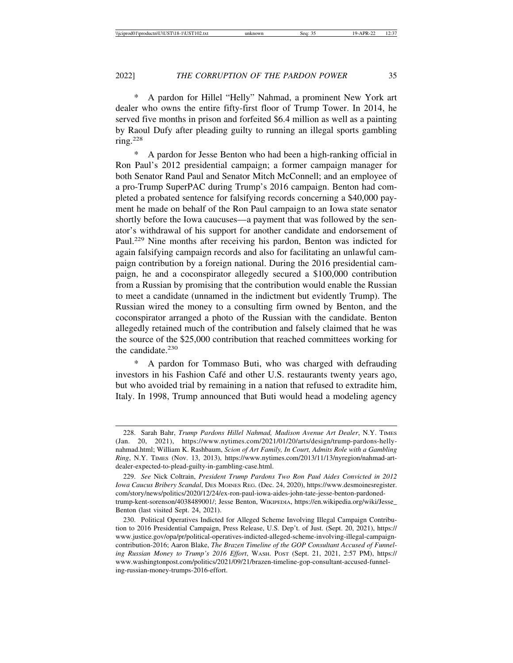A pardon for Hillel "Helly" Nahmad, a prominent New York art dealer who owns the entire fifty-first floor of Trump Tower. In 2014, he served five months in prison and forfeited \$6.4 million as well as a painting by Raoul Dufy after pleading guilty to running an illegal sports gambling ring. $228$ 

A pardon for Jesse Benton who had been a high-ranking official in Ron Paul's 2012 presidential campaign; a former campaign manager for both Senator Rand Paul and Senator Mitch McConnell; and an employee of a pro-Trump SuperPAC during Trump's 2016 campaign. Benton had completed a probated sentence for falsifying records concerning a \$40,000 payment he made on behalf of the Ron Paul campaign to an Iowa state senator shortly before the Iowa caucuses—a payment that was followed by the senator's withdrawal of his support for another candidate and endorsement of Paul.229 Nine months after receiving his pardon, Benton was indicted for again falsifying campaign records and also for facilitating an unlawful campaign contribution by a foreign national. During the 2016 presidential campaign, he and a coconspirator allegedly secured a \$100,000 contribution from a Russian by promising that the contribution would enable the Russian to meet a candidate (unnamed in the indictment but evidently Trump). The Russian wired the money to a consulting firm owned by Benton, and the coconspirator arranged a photo of the Russian with the candidate. Benton allegedly retained much of the contribution and falsely claimed that he was the source of the \$25,000 contribution that reached committees working for the candidate.<sup>230</sup>

\* A pardon for Tommaso Buti, who was charged with defrauding investors in his Fashion Café and other U.S. restaurants twenty years ago, but who avoided trial by remaining in a nation that refused to extradite him, Italy. In 1998, Trump announced that Buti would head a modeling agency

<sup>228.</sup> Sarah Bahr, *Trump Pardons Hillel Nahmad, Madison Avenue Art Dealer*, N.Y. TIMES (Jan. 20, 2021), https://www.nytimes.com/2021/01/20/arts/design/trump-pardons-hellynahmad.html; William K. Rashbaum, *Scion of Art Family, In Court, Admits Role with a Gambling Ring*, N.Y. TIMES (Nov. 13, 2013), https://www.nytimes.com/2013/11/13/nyregion/nahmad-artdealer-expected-to-plead-guilty-in-gambling-case.html.

<sup>229.</sup> *See* Nick Coltrain, *President Trump Pardons Two Ron Paul Aides Convicted in 2012 Iowa Caucus Bribery Scandal*, DES MOINES REG. (Dec. 24, 2020), https://www.desmoinesregister. com/story/news/politics/2020/12/24/ex-ron-paul-iowa-aides-john-tate-jesse-benton-pardonedtrump-kent-sorenson/4038489001/; Jesse Benton, WIKIPEDIA, https://en.wikipedia.org/wiki/Jesse\_ Benton (last visited Sept. 24, 2021).

<sup>230.</sup> Political Operatives Indicted for Alleged Scheme Involving Illegal Campaign Contribution to 2016 Presidential Campaign, Press Release, U.S. Dep't. of Just. (Sept. 20, 2021), https:// www.justice.gov/opa/pr/political-operatives-indicted-alleged-scheme-involving-illegal-campaigncontribution-2016; Aaron Blake, *The Brazen Timeline of the GOP Consultant Accused of Funneling Russian Money to Trump's 2016 Effort*, WASH. POST (Sept. 21, 2021, 2:57 PM), https:// www.washingtonpost.com/politics/2021/09/21/brazen-timeline-gop-consultant-accused-funneling-russian-money-trumps-2016-effort.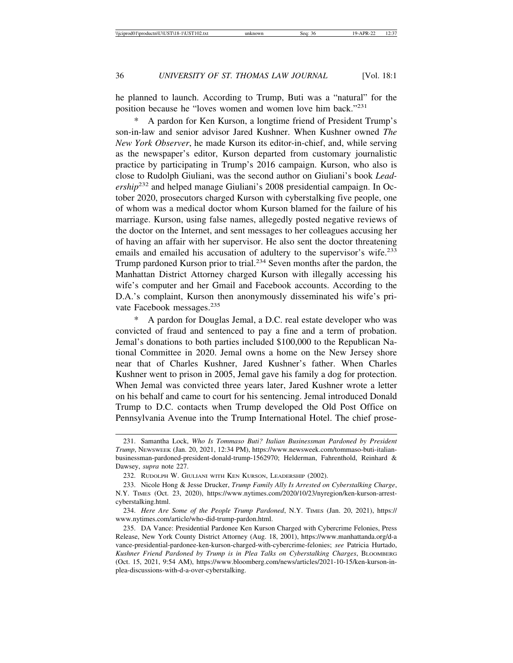he planned to launch. According to Trump, Buti was a "natural" for the position because he "loves women and women love him back."<sup>231</sup>

A pardon for Ken Kurson, a longtime friend of President Trump's son-in-law and senior advisor Jared Kushner. When Kushner owned *The New York Observer*, he made Kurson its editor-in-chief, and, while serving as the newspaper's editor, Kurson departed from customary journalistic practice by participating in Trump's 2016 campaign. Kurson, who also is close to Rudolph Giuliani, was the second author on Giuliani's book *Leadership*232 and helped manage Giuliani's 2008 presidential campaign. In October 2020, prosecutors charged Kurson with cyberstalking five people, one of whom was a medical doctor whom Kurson blamed for the failure of his marriage. Kurson, using false names, allegedly posted negative reviews of the doctor on the Internet, and sent messages to her colleagues accusing her of having an affair with her supervisor. He also sent the doctor threatening emails and emailed his accusation of adultery to the supervisor's wife.<sup>233</sup> Trump pardoned Kurson prior to trial.<sup>234</sup> Seven months after the pardon, the Manhattan District Attorney charged Kurson with illegally accessing his wife's computer and her Gmail and Facebook accounts. According to the D.A.'s complaint, Kurson then anonymously disseminated his wife's private Facebook messages.<sup>235</sup>

A pardon for Douglas Jemal, a D.C. real estate developer who was convicted of fraud and sentenced to pay a fine and a term of probation. Jemal's donations to both parties included \$100,000 to the Republican National Committee in 2020. Jemal owns a home on the New Jersey shore near that of Charles Kushner, Jared Kushner's father. When Charles Kushner went to prison in 2005, Jemal gave his family a dog for protection. When Jemal was convicted three years later, Jared Kushner wrote a letter on his behalf and came to court for his sentencing. Jemal introduced Donald Trump to D.C. contacts when Trump developed the Old Post Office on Pennsylvania Avenue into the Trump International Hotel. The chief prose-

<sup>231.</sup> Samantha Lock, *Who Is Tommaso Buti? Italian Businessman Pardoned by President Trump*, NEWSWEEK (Jan. 20, 2021, 12:34 PM), https://www.newsweek.com/tommaso-buti-italianbusinessman-pardoned-president-donald-trump-1562970; Helderman, Fahrenthold, Reinhard & Dawsey, *supra* note 227.

<sup>232.</sup> RUDOLPH W. GIULIANI WITH KEN KURSON, LEADERSHIP (2002).

<sup>233.</sup> Nicole Hong & Jesse Drucker, *Trump Family Ally Is Arrested on Cyberstalking Charge*, N.Y. TIMES (Oct. 23, 2020), https://www.nytimes.com/2020/10/23/nyregion/ken-kurson-arrestcyberstalking.html.

<sup>234.</sup> *Here Are Some of the People Trump Pardoned*, N.Y. TIMES (Jan. 20, 2021), https:// www.nytimes.com/article/who-did-trump-pardon.html.

<sup>235.</sup> DA Vance: Presidential Pardonee Ken Kurson Charged with Cybercrime Felonies, Press Release, New York County District Attorney (Aug. 18, 2001), https://www.manhattanda.org/d-a vance-presidential-pardonee-ken-kurson-charged-with-cybercrime-felonies; *see* Patricia Hurtado, *Kushner Friend Pardoned by Trump is in Plea Talks on Cyberstalking Charges*, BLOOMBERG (Oct. 15, 2021, 9:54 AM), https://www.bloomberg.com/news/articles/2021-10-15/ken-kurson-inplea-discussions-with-d-a-over-cyberstalking.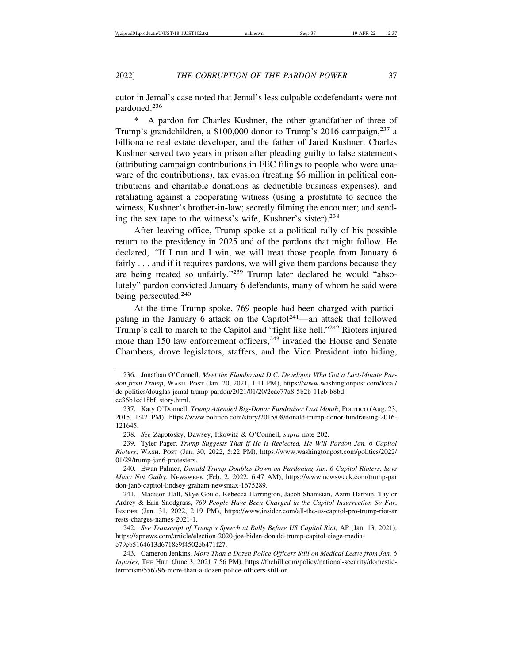cutor in Jemal's case noted that Jemal's less culpable codefendants were not pardoned.<sup>236</sup>

\* A pardon for Charles Kushner, the other grandfather of three of Trump's grandchildren, a \$100,000 donor to Trump's 2016 campaign,<sup>237</sup> a billionaire real estate developer, and the father of Jared Kushner. Charles Kushner served two years in prison after pleading guilty to false statements (attributing campaign contributions in FEC filings to people who were unaware of the contributions), tax evasion (treating \$6 million in political contributions and charitable donations as deductible business expenses), and retaliating against a cooperating witness (using a prostitute to seduce the witness, Kushner's brother-in-law; secretly filming the encounter; and sending the sex tape to the witness's wife, Kushner's sister).<sup>238</sup>

After leaving office, Trump spoke at a political rally of his possible return to the presidency in 2025 and of the pardons that might follow. He declared, "If I run and I win, we will treat those people from January 6 fairly . . . and if it requires pardons, we will give them pardons because they are being treated so unfairly."239 Trump later declared he would "absolutely" pardon convicted January 6 defendants, many of whom he said were being persecuted.<sup>240</sup>

At the time Trump spoke, 769 people had been charged with participating in the January 6 attack on the Capitol<sup>241</sup>—an attack that followed Trump's call to march to the Capitol and "fight like hell."<sup>242</sup> Rioters injured more than 150 law enforcement officers,<sup>243</sup> invaded the House and Senate Chambers, drove legislators, staffers, and the Vice President into hiding,

<sup>236.</sup> Jonathan O'Connell, *Meet the Flamboyant D.C. Developer Who Got a Last-Minute Pardon from Trump*, WASH. POST (Jan. 20, 2021, 1:11 PM), https://www.washingtonpost.com/local/ dc-politics/douglas-jemal-trump-pardon/2021/01/20/2eac77a8-5b2b-11eb-b8bdee36b1cd18bf\_story.html.

<sup>237.</sup> Katy O'Donnell, *Trump Attended Big-Donor Fundraiser Last Month*, POLITICO (Aug. 23, 2015, 1:42 PM), https://www.politico.com/story/2015/08/donald-trump-donor-fundraising-2016- 121645.

<sup>238.</sup> *See* Zapotosky, Dawsey, Itkowitz & O'Connell, *supra* note 202.

<sup>239.</sup> Tyler Pager, *Trump Suggests That if He is Reelected, He Will Pardon Jan. 6 Capitol Rioters*, WASH. POST (Jan. 30, 2022, 5:22 PM), https://www.washingtonpost.com/politics/2022/ 01/29/trump-jan6-protesters.

<sup>240.</sup> Ewan Palmer, *Donald Trump Doubles Down on Pardoning Jan. 6 Capitol Rioters, Says Many Not Guilty*, NEWSWEEK (Feb. 2, 2022, 6:47 AM), https://www.newsweek.com/trump-par don-jan6-capitol-lindsey-graham-newsmax-1675289.

<sup>241.</sup> Madison Hall, Skye Gould, Rebecca Harrington, Jacob Shamsian, Azmi Haroun, Taylor Ardrey & Erin Snodgrass, *769 People Have Been Charged in the Capitol Insurrection So Far*, INSIDER (Jan. 31, 2022, 2:19 PM), https://www.insider.com/all-the-us-capitol-pro-trump-riot-ar rests-charges-names-2021-1.

<sup>242.</sup> *See Transcript of Trump's Speech at Rally Before US Capitol Riot*, AP (Jan. 13, 2021), https://apnews.com/article/election-2020-joe-biden-donald-trump-capitol-siege-mediae79eb5164613d6718e9f4502eb471f27.

<sup>243.</sup> Cameron Jenkins, *More Than a Dozen Police Officers Still on Medical Leave from Jan. 6 Injuries*, THE HILL (June 3, 2021 7:56 PM), https://thehill.com/policy/national-security/domesticterrorism/556796-more-than-a-dozen-police-officers-still-on.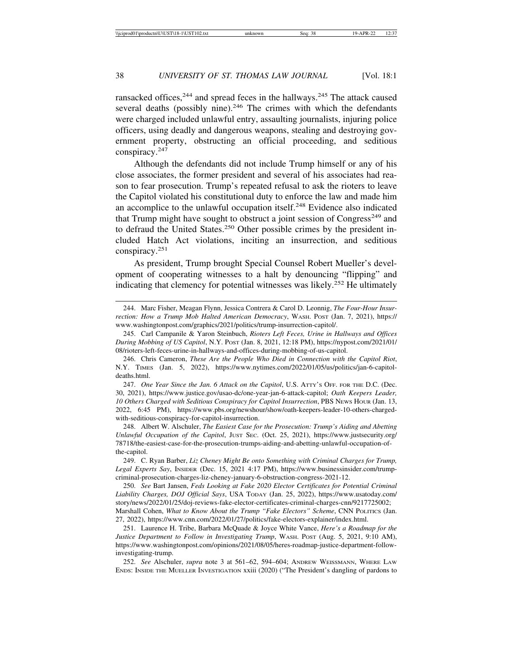ransacked offices,  $244$  and spread feces in the hallways.  $245$  The attack caused several deaths (possibly nine). $246$  The crimes with which the defendants were charged included unlawful entry, assaulting journalists, injuring police officers, using deadly and dangerous weapons, stealing and destroying government property, obstructing an official proceeding, and seditious conspiracy.<sup>247</sup>

Although the defendants did not include Trump himself or any of his close associates, the former president and several of his associates had reason to fear prosecution. Trump's repeated refusal to ask the rioters to leave the Capitol violated his constitutional duty to enforce the law and made him an accomplice to the unlawful occupation itself.<sup>248</sup> Evidence also indicated that Trump might have sought to obstruct a joint session of  $Congress<sup>249</sup>$  and to defraud the United States.<sup>250</sup> Other possible crimes by the president included Hatch Act violations, inciting an insurrection, and seditious conspiracy.<sup>251</sup>

As president, Trump brought Special Counsel Robert Mueller's development of cooperating witnesses to a halt by denouncing "flipping" and indicating that clemency for potential witnesses was likely.<sup>252</sup> He ultimately

247. *One Year Since the Jan. 6 Attack on the Capitol*, U.S. ATTY'S OFF. FOR THE D.C. (Dec. 30, 2021), https://www.justice.gov/usao-dc/one-year-jan-6-attack-capitol; *Oath Keepers Leader, 10 Others Charged with Seditious Conspiracy for Capitol Insurrection*, PBS NEWS HOUR (Jan. 13, 2022, 6:45 PM), https://www.pbs.org/newshour/show/oath-keepers-leader-10-others-chargedwith-seditious-conspiracy-for-capitol-insurrection.

248. Albert W. Alschuler, *The Easiest Case for the Prosecution: Trump's Aiding and Abetting Unlawful Occupation of the Capitol*, JUST SEC. (Oct. 25, 2021), https://www.justsecurity.org/ 78718/the-easiest-case-for-the-prosecution-trumps-aiding-and-abetting-unlawful-occupation-ofthe-capitol.

249. C. Ryan Barber, *Liz Cheney Might Be onto Something with Criminal Charges for Trump, Legal Experts Say*, INSIDER (Dec. 15, 2021 4:17 PM), https://www.businessinsider.com/trumpcriminal-prosecution-charges-liz-cheney-january-6-obstruction-congress-2021-12.

250. *See* Bart Jansen, *Feds Looking at Fake 2020 Elector Certificates for Potential Criminal Liability Charges, DOJ Official Says*, USA TODAY (Jan. 25, 2022), https://www.usatoday.com/ story/news/2022/01/25/doj-reviews-fake-elector-certificates-criminal-charges-cnn/9217725002; Marshall Cohen, *What to Know About the Trump "Fake Electors" Scheme*, CNN POLITICS (Jan.

27, 2022), https://www.cnn.com/2022/01/27/politics/fake-electors-explainer/index.html.

251. Laurence H. Tribe, Barbara McQuade & Joyce White Vance, *Here's a Roadmap for the Justice Department to Follow in Investigating Trump*, WASH. POST (Aug. 5, 2021, 9:10 AM), https://www.washingtonpost.com/opinions/2021/08/05/heres-roadmap-justice-department-followinvestigating-trump.

252. *See* Alschuler, *supra* note 3 at 561–62, 594–604; ANDREW WEISSMANN, WHERE LAW ENDS: INSIDE THE MUELLER INVESTIGATION xxiii (2020) ("The President's dangling of pardons to

<sup>244.</sup> Marc Fisher, Meagan Flynn, Jessica Contrera & Carol D. Leonnig, *The Four-Hour Insurrection: How a Trump Mob Halted American Democracy*, WASH. POST (Jan. 7, 2021), https:// www.washingtonpost.com/graphics/2021/politics/trump-insurrection-capitol/.

<sup>245.</sup> Carl Campanile & Yaron Steinbuch, *Rioters Left Feces, Urine in Hallways and Offices During Mobbing of US Capitol*, N.Y. POST (Jan. 8, 2021, 12:18 PM), https://nypost.com/2021/01/ 08/rioters-left-feces-urine-in-hallways-and-offices-during-mobbing-of-us-capitol.

<sup>246.</sup> Chris Cameron, *These Are the People Who Died in Connection with the Capitol Riot*, N.Y. TIMES (Jan. 5, 2022), https://www.nytimes.com/2022/01/05/us/politics/jan-6-capitoldeaths.html.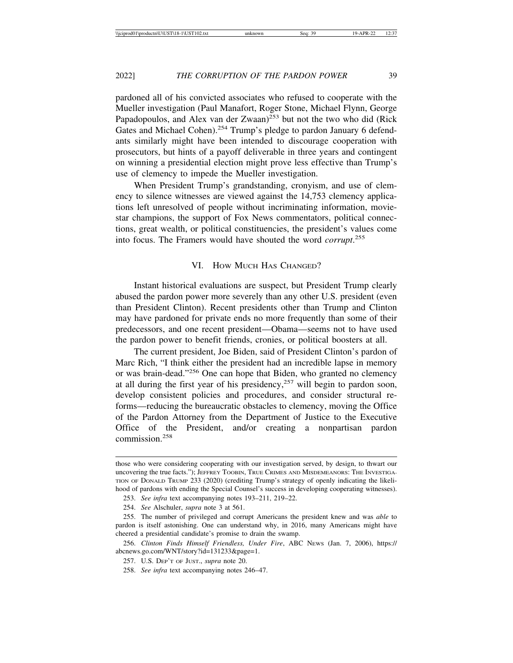pardoned all of his convicted associates who refused to cooperate with the Mueller investigation (Paul Manafort, Roger Stone, Michael Flynn, George Papadopoulos, and Alex van der Zwaan)<sup>253</sup> but not the two who did (Rick Gates and Michael Cohen).<sup>254</sup> Trump's pledge to pardon January 6 defendants similarly might have been intended to discourage cooperation with prosecutors, but hints of a payoff deliverable in three years and contingent on winning a presidential election might prove less effective than Trump's use of clemency to impede the Mueller investigation.

When President Trump's grandstanding, cronyism, and use of clemency to silence witnesses are viewed against the 14,753 clemency applications left unresolved of people without incriminating information, moviestar champions, the support of Fox News commentators, political connections, great wealth, or political constituencies, the president's values come into focus. The Framers would have shouted the word *corrupt*. 255

#### VI. HOW MUCH HAS CHANGED?

Instant historical evaluations are suspect, but President Trump clearly abused the pardon power more severely than any other U.S. president (even than President Clinton). Recent presidents other than Trump and Clinton may have pardoned for private ends no more frequently than some of their predecessors, and one recent president—Obama—seems not to have used the pardon power to benefit friends, cronies, or political boosters at all.

The current president, Joe Biden, said of President Clinton's pardon of Marc Rich, "I think either the president had an incredible lapse in memory or was brain-dead."256 One can hope that Biden, who granted no clemency at all during the first year of his presidency,  $257$  will begin to pardon soon, develop consistent policies and procedures, and consider structural reforms—reducing the bureaucratic obstacles to clemency, moving the Office of the Pardon Attorney from the Department of Justice to the Executive Office of the President, and/or creating a nonpartisan pardon commission.258

those who were considering cooperating with our investigation served, by design, to thwart our uncovering the true facts."); JEFFREY TOOBIN, TRUE CRIMES AND MISDEMEANORS: THE INVESTIGA-TION OF DONALD TRUMP 233 (2020) (crediting Trump's strategy of openly indicating the likelihood of pardons with ending the Special Counsel's success in developing cooperating witnesses).

<sup>253.</sup> *See infra* text accompanying notes 193–211, 219–22.

<sup>254.</sup> *See* Alschuler, *supra* note 3 at 561.

<sup>255.</sup> The number of privileged and corrupt Americans the president knew and was *able* to pardon is itself astonishing. One can understand why, in 2016, many Americans might have cheered a presidential candidate's promise to drain the swamp.

<sup>256.</sup> *Clinton Finds Himself Friendless, Under Fire*, ABC NEWS (Jan. 7, 2006), https:// abcnews.go.com/WNT/story?id=131233&page=1.

<sup>257.</sup> U.S. DEP'T OF JUST., *supra* note 20.

<sup>258.</sup> *See infra* text accompanying notes 246–47.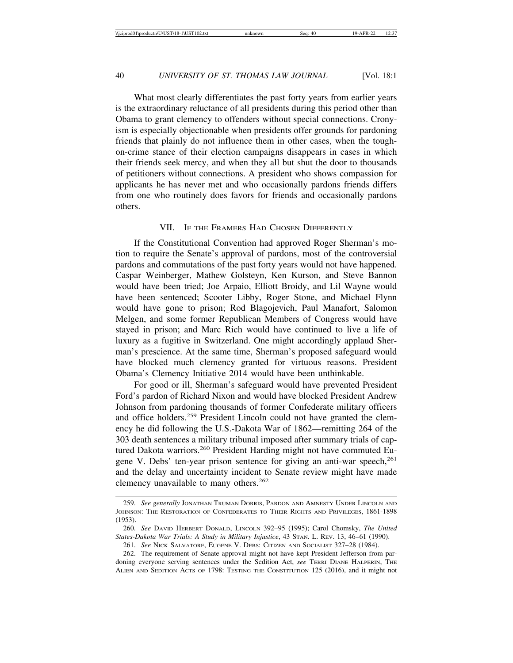What most clearly differentiates the past forty years from earlier years is the extraordinary reluctance of all presidents during this period other than Obama to grant clemency to offenders without special connections. Cronyism is especially objectionable when presidents offer grounds for pardoning friends that plainly do not influence them in other cases, when the toughon-crime stance of their election campaigns disappears in cases in which their friends seek mercy, and when they all but shut the door to thousands of petitioners without connections. A president who shows compassion for applicants he has never met and who occasionally pardons friends differs from one who routinely does favors for friends and occasionally pardons others.

### VII. IF THE FRAMERS HAD CHOSEN DIFFERENTLY

If the Constitutional Convention had approved Roger Sherman's motion to require the Senate's approval of pardons, most of the controversial pardons and commutations of the past forty years would not have happened. Caspar Weinberger, Mathew Golsteyn, Ken Kurson, and Steve Bannon would have been tried; Joe Arpaio, Elliott Broidy, and Lil Wayne would have been sentenced; Scooter Libby, Roger Stone, and Michael Flynn would have gone to prison; Rod Blagojevich, Paul Manafort, Salomon Melgen, and some former Republican Members of Congress would have stayed in prison; and Marc Rich would have continued to live a life of luxury as a fugitive in Switzerland. One might accordingly applaud Sherman's prescience. At the same time, Sherman's proposed safeguard would have blocked much clemency granted for virtuous reasons. President Obama's Clemency Initiative 2014 would have been unthinkable.

For good or ill, Sherman's safeguard would have prevented President Ford's pardon of Richard Nixon and would have blocked President Andrew Johnson from pardoning thousands of former Confederate military officers and office holders.259 President Lincoln could not have granted the clemency he did following the U.S.-Dakota War of 1862—remitting 264 of the 303 death sentences a military tribunal imposed after summary trials of captured Dakota warriors.<sup>260</sup> President Harding might not have commuted Eugene V. Debs' ten-year prison sentence for giving an anti-war speech,<sup>261</sup> and the delay and uncertainty incident to Senate review might have made clemency unavailable to many others.<sup>262</sup>

<sup>259.</sup> *See generally* JONATHAN TRUMAN DORRIS, PARDON AND AMNESTY UNDER LINCOLN AND JOHNSON: THE RESTORATION OF CONFEDERATES TO THEIR RIGHTS AND PRIVILEGES, 1861-1898 (1953).

<sup>260.</sup> *See* DAVID HERBERT DONALD, LINCOLN 392–95 (1995); Carol Chomsky, *The United States-Dakota War Trials: A Study in Military Injustice*, 43 STAN. L. REV. 13, 46–61 (1990).

<sup>261.</sup> *See* NICK SALVATORE, EUGENE V. DEBS: CITIZEN AND SOCIALIST 327–28 (1984).

<sup>262.</sup> The requirement of Senate approval might not have kept President Jefferson from pardoning everyone serving sentences under the Sedition Act, *see* TERRI DIANE HALPERIN, THE ALIEN AND SEDITION ACTS OF 1798: TESTING THE CONSTITUTION 125 (2016), and it might not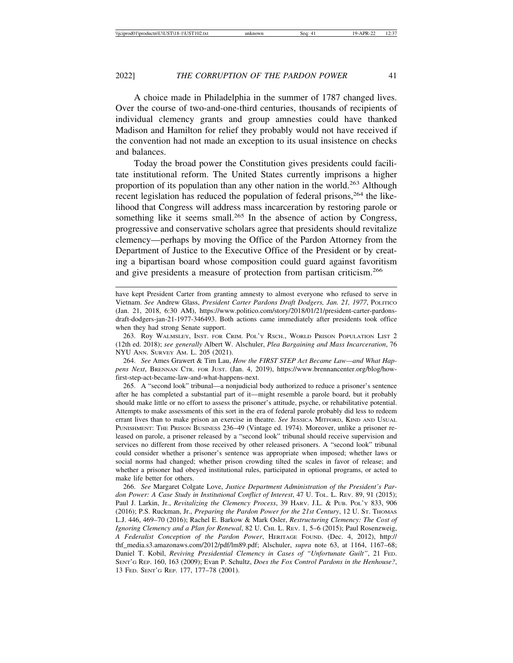A choice made in Philadelphia in the summer of 1787 changed lives. Over the course of two-and-one-third centuries, thousands of recipients of individual clemency grants and group amnesties could have thanked Madison and Hamilton for relief they probably would not have received if the convention had not made an exception to its usual insistence on checks and balances.

Today the broad power the Constitution gives presidents could facilitate institutional reform. The United States currently imprisons a higher proportion of its population than any other nation in the world.<sup>263</sup> Although recent legislation has reduced the population of federal prisons,<sup>264</sup> the likelihood that Congress will address mass incarceration by restoring parole or something like it seems small.<sup>265</sup> In the absence of action by Congress, progressive and conservative scholars agree that presidents should revitalize clemency—perhaps by moving the Office of the Pardon Attorney from the Department of Justice to the Executive Office of the President or by creating a bipartisan board whose composition could guard against favoritism and give presidents a measure of protection from partisan criticism.<sup>266</sup>

have kept President Carter from granting amnesty to almost everyone who refused to serve in Vietnam. *See* Andrew Glass, *President Carter Pardons Draft Dodgers, Jan. 21, 1977*, POLITICO (Jan. 21, 2018, 6:30 AM), https://www.politico.com/story/2018/01/21/president-carter-pardonsdraft-dodgers-jan-21-1977-346493. Both actions came immediately after presidents took office when they had strong Senate support.

263. Roy WALMSLEY, INST. FOR CRIM. POL'Y RSCH., WORLD PRISON POPULATION LIST 2 (12th ed. 2018); *see generally* Albert W. Alschuler, *Plea Bargaining and Mass Incarceration*, 76 NYU ANN. SURVEY AM. L. 205 (2021).

264. *See* Ames Grawert & Tim Lau, *How the FIRST STEP Act Became Law—and What Happens Next*, BRENNAN CTR. FOR JUST. (Jan. 4, 2019), https://www.brennancenter.org/blog/howfirst-step-act-became-law-and-what-happens-next.

265. A "second look" tribunal—a nonjudicial body authorized to reduce a prisoner's sentence after he has completed a substantial part of it—might resemble a parole board, but it probably should make little or no effort to assess the prisoner's attitude, psyche, or rehabilitative potential. Attempts to make assessments of this sort in the era of federal parole probably did less to redeem errant lives than to make prison an exercise in theatre. *See* JESSICA MITFORD, KIND AND USUAL PUNISHMENT: THE PRISON BUSINESS 236–49 (Vintage ed. 1974). Moreover, unlike a prisoner released on parole, a prisoner released by a "second look" tribunal should receive supervision and services no different from those received by other released prisoners. A "second look" tribunal could consider whether a prisoner's sentence was appropriate when imposed; whether laws or social norms had changed; whether prison crowding tilted the scales in favor of release; and whether a prisoner had obeyed institutional rules, participated in optional programs, or acted to make life better for others.

266. *See* Margaret Colgate Love, *Justice Department Administration of the President's Pardon Power: A Case Study in Institutional Conflict of Interest*, 47 U. TOL. L. REV. 89, 91 (2015); Paul J. Larkin, Jr., *Revitalizing the Clemency Process*, 39 HARV. J.L. & PUB. POL'Y 833, 906 (2016); P.S. Ruckman, Jr., *Preparing the Pardon Power for the 21st Century*, 12 U. ST. THOMAS L.J. 446, 469–70 (2016); Rachel E. Barkow & Mark Osler, *Restructuring Clemency: The Cost of Ignoring Clemency and a Plan for Renewal*, 82 U. CHI. L. REV. 1, 5–6 (2015); Paul Rosenzweig, *A Federalist Conception of the Pardon Power*, HERITAGE FOUND. (Dec. 4, 2012), http:// thf\_media.s3.amazonaws.com/2012/pdf/lm89.pdf; Alschuler, *supra* note 63, at 1164, 1167–68; Daniel T. Kobil, *Reviving Presidential Clemency in Cases of "Unfortunate Guilt"*, 21 FED. SENT'G REP. 160, 163 (2009); Evan P. Schultz, *Does the Fox Control Pardons in the Henhouse?*, 13 FED. SENT'G REP. 177, 177–78 (2001).